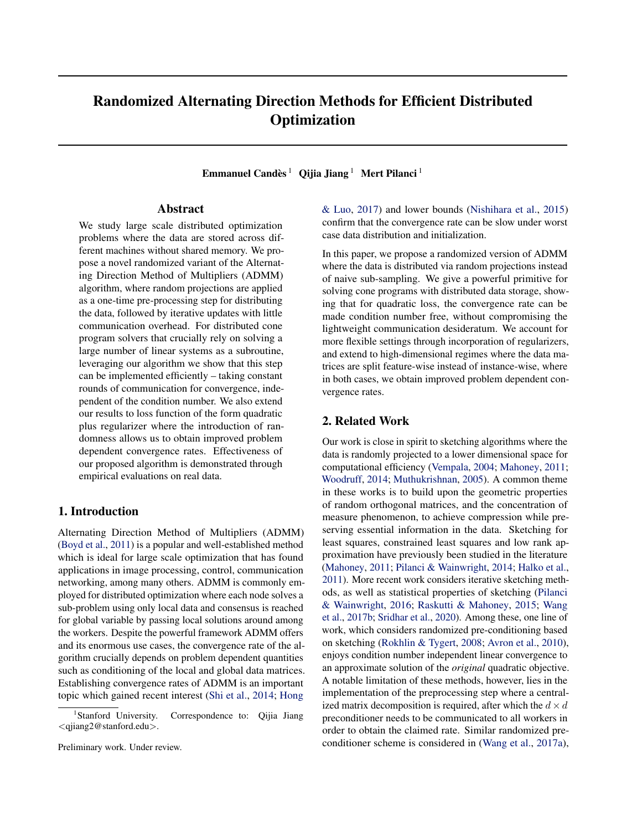# Randomized Alternating Direction Methods for Efficient Distributed **Optimization**

Emmanuel Candès  $^1$  Qijia Jiang  $^1$  Mert Pilanci  $^1$ 

## Abstract

We study large scale distributed optimization problems where the data are stored across different machines without shared memory. We propose a novel randomized variant of the Alternating Direction Method of Multipliers (ADMM) algorithm, where random projections are applied as a one-time pre-processing step for distributing the data, followed by iterative updates with little communication overhead. For distributed cone program solvers that crucially rely on solving a large number of linear systems as a subroutine, leveraging our algorithm we show that this step can be implemented efficiently – taking constant rounds of communication for convergence, independent of the condition number. We also extend our results to loss function of the form quadratic plus regularizer where the introduction of randomness allows us to obtain improved problem dependent convergence rates. Effectiveness of our proposed algorithm is demonstrated through empirical evaluations on real data.

## 1. Introduction

Alternating Direction Method of Multipliers (ADMM) [\(Boyd et al.,](#page-8-0) [2011\)](#page-8-0) is a popular and well-established method which is ideal for large scale optimization that has found applications in image processing, control, communication networking, among many others. ADMM is commonly employed for distributed optimization where each node solves a sub-problem using only local data and consensus is reached for global variable by passing local solutions around among the workers. Despite the powerful framework ADMM offers and its enormous use cases, the convergence rate of the algorithm crucially depends on problem dependent quantities such as conditioning of the local and global data matrices. Establishing convergence rates of ADMM is an important topic which gained recent interest [\(Shi et al.,](#page-8-0) [2014;](#page-8-0) [Hong](#page-8-0)

[Preliminary work. Under review.](#page-8-0)

[& Luo,](#page-8-0) [2017\)](#page-8-0) and lower bounds [\(Nishihara et al.,](#page-8-0) [2015\)](#page-8-0) confirm that the convergence rate can be slow under worst case data distribution and initialization.

In this paper, we propose a randomized version of ADMM where the data is distributed via random projections instead of naive sub-sampling. We give a powerful primitive for solving cone programs with distributed data storage, showing that for quadratic loss, the convergence rate can be made condition number free, without compromising the lightweight communication desideratum. We account for more flexible settings through incorporation of regularizers, and extend to high-dimensional regimes where the data matrices are split feature-wise instead of instance-wise, where in both cases, we obtain improved problem dependent convergence rates.

## 2. Related Work

Our work is close in spirit to sketching algorithms where the data is randomly projected to a lower dimensional space for computational efficiency [\(Vempala,](#page-8-0) [2004;](#page-8-0) [Mahoney,](#page-8-0) [2011;](#page-8-0) [Woodruff,](#page-9-0) [2014;](#page-9-0) [Muthukrishnan,](#page-8-0) [2005\)](#page-8-0). A common theme in these works is to build upon the geometric properties of random orthogonal matrices, and the concentration of measure phenomenon, to achieve compression while preserving essential information in the data. Sketching for least squares, constrained least squares and low rank approximation have previously been studied in the literature [\(Mahoney,](#page-8-0) [2011;](#page-8-0) [Pilanci & Wainwright,](#page-8-0) [2014;](#page-8-0) [Halko et al.,](#page-8-0) [2011\)](#page-8-0). More recent work considers iterative sketching methods, as well as statistical properties of sketching [\(Pilanci](#page-8-0) [& Wainwright,](#page-8-0) [2016;](#page-8-0) [Raskutti & Mahoney,](#page-8-0) [2015;](#page-8-0) [Wang](#page-9-0) [et al.,](#page-9-0) [2017b;](#page-9-0) [Sridhar et al.,](#page-8-0) [2020\)](#page-8-0). Among these, one line of work, which considers randomized pre-conditioning based on sketching [\(Rokhlin & Tygert,](#page-8-0) [2008;](#page-8-0) [Avron et al.,](#page-8-0) [2010\)](#page-8-0), enjoys condition number independent linear convergence to an approximate solution of the *original* quadratic objective. A notable limitation of these methods, however, lies in the implementation of the preprocessing step where a centralized matrix decomposition is required, after which the  $d \times d$ preconditioner needs to be communicated to all workers in order to obtain the claimed rate. Similar randomized preconditioner scheme is considered in [\(Wang et al.,](#page-9-0) [2017a\)](#page-9-0),

Stanford University. Correspondence to: Qijia Jiang <[qjiang2@stanford.edu](#page-8-0)>.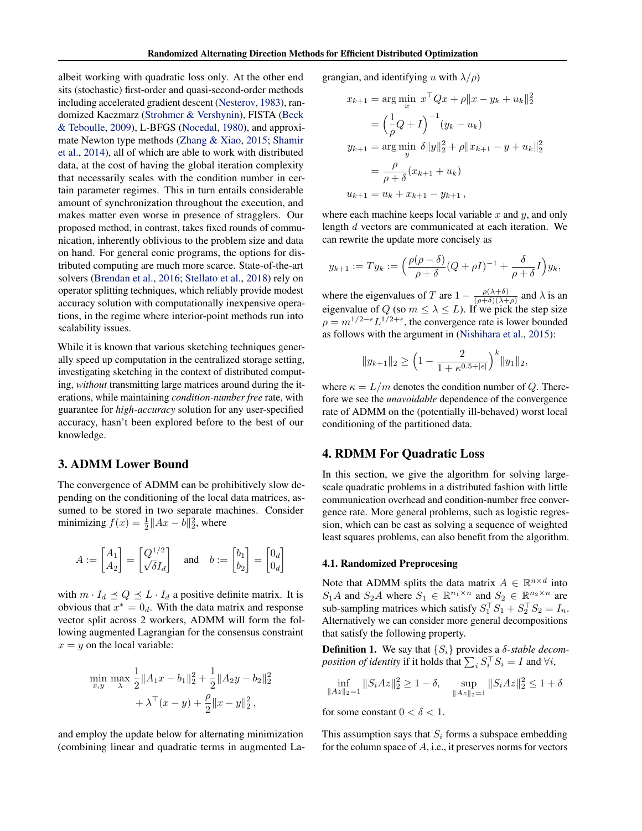<span id="page-1-0"></span>albeit working with quadratic loss only. At the other end sits (stochastic) first-order and quasi-second-order methods including accelerated gradient descent [\(Nesterov,](#page-8-0) [1983\)](#page-8-0), randomized Kaczmarz [\(Strohmer & Vershynin\)](#page-8-0), FISTA [\(Beck](#page-8-0) [& Teboulle,](#page-8-0) [2009\)](#page-8-0), L-BFGS [\(Nocedal,](#page-8-0) [1980\)](#page-8-0), and approximate Newton type methods [\(Zhang & Xiao,](#page-9-0) [2015;](#page-9-0) [Shamir](#page-8-0) [et al.,](#page-8-0) [2014\)](#page-8-0), all of which are able to work with distributed data, at the cost of having the global iteration complexity that necessarily scales with the condition number in certain parameter regimes. This in turn entails considerable amount of synchronization throughout the execution, and makes matter even worse in presence of stragglers. Our proposed method, in contrast, takes fixed rounds of communication, inherently oblivious to the problem size and data on hand. For general conic programs, the options for distributed computing are much more scarce. State-of-the-art solvers [\(Brendan et al.,](#page-8-0) [2016;](#page-8-0) [Stellato et al.,](#page-8-0) [2018\)](#page-8-0) rely on operator splitting techniques, which reliably provide modest accuracy solution with computationally inexpensive operations, in the regime where interior-point methods run into scalability issues.

While it is known that various sketching techniques generally speed up computation in the centralized storage setting, investigating sketching in the context of distributed computing, *without* transmitting large matrices around during the iterations, while maintaining *condition-number free* rate, with guarantee for *high-accuracy* solution for any user-specified accuracy, hasn't been explored before to the best of our knowledge.

## 3. ADMM Lower Bound

The convergence of ADMM can be prohibitively slow depending on the conditioning of the local data matrices, assumed to be stored in two separate machines. Consider minimizing  $f(x) = \frac{1}{2} ||Ax - b||_2^2$ , where

$$
A := \begin{bmatrix} A_1 \\ A_2 \end{bmatrix} = \begin{bmatrix} Q^{1/2} \\ \sqrt{\delta} I_d \end{bmatrix} \quad \text{and} \quad b := \begin{bmatrix} b_1 \\ b_2 \end{bmatrix} = \begin{bmatrix} 0_d \\ 0_d \end{bmatrix}
$$

with  $m \cdot I_d \preceq Q \preceq L \cdot I_d$  a positive definite matrix. It is obvious that  $x^* = 0_d$ . With the data matrix and response vector split across 2 workers, ADMM will form the following augmented Lagrangian for the consensus constraint  $x = y$  on the local variable:

$$
\min_{x,y} \max_{\lambda} \frac{1}{2} ||A_1 x - b_1||_2^2 + \frac{1}{2} ||A_2 y - b_2||_2^2
$$

$$
+ \lambda^{\top} (x - y) + \frac{\rho}{2} ||x - y||_2^2,
$$

and employ the update below for alternating minimization (combining linear and quadratic terms in augmented Lagrangian, and identifying u with  $\lambda/\rho$ )

$$
x_{k+1} = \arg\min_{x} x^{\top} Qx + \rho ||x - y_k + u_k||_2^2
$$
  
=  $\left(\frac{1}{\rho} Q + I\right)^{-1} (y_k - u_k)$   

$$
y_{k+1} = \arg\min_{y} \delta ||y||_2^2 + \rho ||x_{k+1} - y + u_k||_2^2
$$
  
=  $\frac{\rho}{\rho + \delta} (x_{k+1} + u_k)$   

$$
u_{k+1} = u_k + x_{k+1} - y_{k+1},
$$

where each machine keeps local variable  $x$  and  $y$ , and only length d vectors are communicated at each iteration. We can rewrite the update more concisely as

$$
y_{k+1} := Ty_k := \left(\frac{\rho(\rho - \delta)}{\rho + \delta}(Q + \rho I)^{-1} + \frac{\delta}{\rho + \delta}I\right)y_k,
$$

where the eigenvalues of T are  $1 - \frac{\rho(\lambda + \delta)}{(\rho + \delta)(\lambda + \delta)}$  $\frac{\rho(\lambda+\delta)}{(\rho+\delta)(\lambda+\rho)}$  and  $\lambda$  is an eigenvalue of Q (so  $m \leq \lambda \leq L$ ). If we pick the step size  $\rho = m^{1/2 - \epsilon} L^{1/2 + \epsilon}$ , the convergence rate is lower bounded as follows with the argument in [\(Nishihara et al.,](#page-8-0) [2015\)](#page-8-0):

$$
||y_{k+1}||_2 \ge \left(1 - \frac{2}{1 + \kappa^{0.5 + |\epsilon|}}\right)^k ||y_1||_2,
$$

where  $\kappa = L/m$  denotes the condition number of Q. Therefore we see the *unavoidable* dependence of the convergence rate of ADMM on the (potentially ill-behaved) worst local conditioning of the partitioned data.

### 4. RDMM For Quadratic Loss

In this section, we give the algorithm for solving largescale quadratic problems in a distributed fashion with little communication overhead and condition-number free convergence rate. More general problems, such as logistic regression, which can be cast as solving a sequence of weighted least squares problems, can also benefit from the algorithm.

### 4.1. Randomized Preprocesing

Note that ADMM splits the data matrix  $A \in \mathbb{R}^{n \times d}$  into  $S_1A$  and  $S_2A$  where  $S_1 \in \mathbb{R}^{n_1 \times n}$  and  $S_2 \in \mathbb{R}^{n_2 \times n}$  are sub-sampling matrices which satisfy  $S_1^\top S_1 + S_2^\top S_2 = I_n$ . Alternatively we can consider more general decompositions that satisfy the following property.

**Definition 1.** We say that  $\{S_i\}$  provides a  $\delta$ -*stable decomposition of identity* if it holds that  $\sum_i S_i^\top S_i = I$  and  $\forall i$ ,

$$
\inf_{\|Az\|_2=1} \|S_i Az\|_2^2 \ge 1 - \delta, \quad \sup_{\|Az\|_2=1} \|S_i Az\|_2^2 \le 1 + \delta
$$

for some constant  $0 < \delta < 1$ .

This assumption says that  $S_i$  forms a subspace embedding for the column space of  $A$ , i.e., it preserves norms for vectors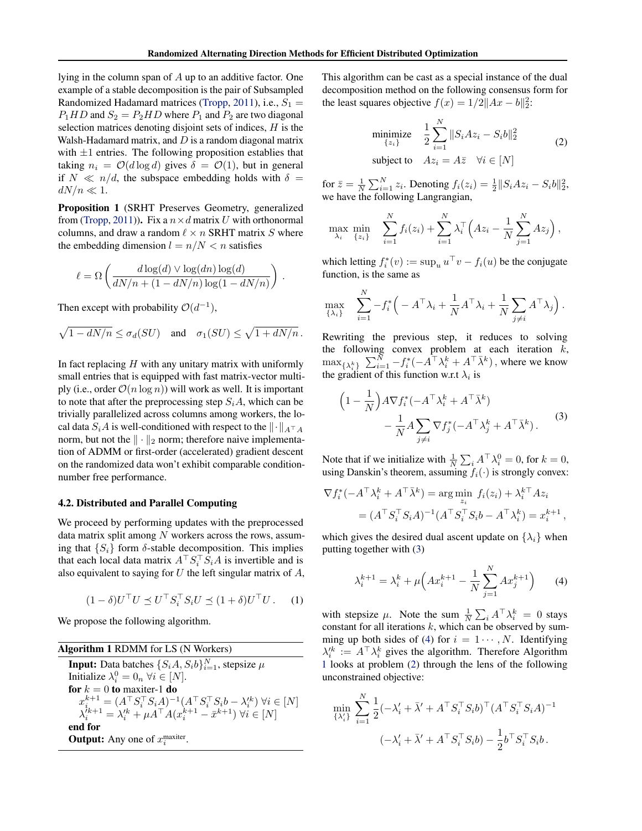<span id="page-2-0"></span>lying in the column span of A up to an additive factor. One example of a stable decomposition is the pair of Subsampled Randomized Hadamard matrices [\(Tropp,](#page-8-0) [2011\)](#page-8-0), i.e.,  $S_1 =$  $P_1HD$  and  $S_2 = P_2HD$  where  $P_1$  and  $P_2$  are two diagonal selection matrices denoting disjoint sets of indices,  $H$  is the Walsh-Hadamard matrix, and  $D$  is a random diagonal matrix with  $\pm 1$  entries. The following proposition establies that taking  $n_i = \mathcal{O}(d \log d)$  gives  $\delta = \mathcal{O}(1)$ , but in general if  $N \ll n/d$ , the subspace embedding holds with  $\delta =$  $dN/n \ll 1$ .

Proposition 1 (SRHT Preserves Geometry, generalized from [\(Tropp,](#page-8-0) [2011\)](#page-8-0)). Fix a  $n \times d$  matrix U with orthonormal columns, and draw a random  $\ell \times n$  SRHT matrix S where the embedding dimension  $l = n/N < n$  satisfies

$$
\ell = \Omega\left(\frac{d\log(d) \vee \log(dn) \log(d)}{dN/n + (1 - dN/n) \log(1 - dN/n)}\right).
$$

Then except with probability  $\mathcal{O}(d^{-1})$ ,

$$
\sqrt{1-dN/n} \leq \sigma_d(SU)
$$
 and  $\sigma_1(SU) \leq \sqrt{1+dN/n}$ .

In fact replacing  $H$  with any unitary matrix with uniformly small entries that is equipped with fast matrix-vector multiply (i.e., order  $\mathcal{O}(n \log n)$ ) will work as well. It is important to note that after the preprocessing step  $S_iA$ , which can be trivially parallelized across columns among workers, the local data  $S_iA$  is well-conditioned with respect to the  $\|\cdot\|_{A^\top A}$ norm, but not the  $\|\cdot\|_2$  norm; therefore naive implementation of ADMM or first-order (accelerated) gradient descent on the randomized data won't exhibit comparable conditionnumber free performance.

#### 4.2. Distributed and Parallel Computing

We proceed by performing updates with the preprocessed data matrix split among  $N$  workers across the rows, assuming that  $\{S_i\}$  form  $\delta$ -stable decomposition. This implies that each local data matrix  $A^\top S_i^\top S_i A$  is invertible and is also equivalent to saying for  $U$  the left singular matrix of  $A$ ,

$$
(1 - \delta)U^{\top}U \preceq U^{\top} S_i^{\top} S_i U \preceq (1 + \delta)U^{\top}U. \tag{1}
$$

We propose the following algorithm.

| <b>Algorithm 1 RDMM</b> for LS (N Workers)                                                                          |
|---------------------------------------------------------------------------------------------------------------------|
| <b>Input:</b> Data batches $\{S_iA, S_i b\}_{i=1}^N$ , stepsize $\mu$                                               |
| Initialize $\lambda_i^0 = 0_n \ \forall i \in [N]$ .                                                                |
| for $k = 0$ to maxiter-1 do                                                                                         |
| $x_i^{k+1} = (A^\top S_i^\top S_i A)^{-1} (A^\top S_i^\top S_i b - \lambda_i^{\prime k}) \ \forall i \in [N]$       |
| $\lambda_i^{i_{k+1}} = \lambda_i^{\prime k} + \mu \tilde{A}^\top A (x_i^{k+1} - \bar{x}^{k+1}) \ \forall i \in [N]$ |
| end for                                                                                                             |
| <b>Output:</b> Any one of $x_i^{\text{maxiter}}$ .                                                                  |

This algorithm can be cast as a special instance of the dual decomposition method on the following consensus form for the least squares objective  $f(x) = 1/2||Ax - b||_2^2$ :

$$
\begin{array}{ll}\text{minimize} & \frac{1}{2} \sum_{i=1}^{N} \|S_i A z_i - S_i b\|_2^2\\ \text{subject to} & A z_i = A \bar{z} \quad \forall i \in [N] \end{array} \tag{2}
$$

for  $\bar{z} = \frac{1}{N} \sum_{i=1}^{N} z_i$ . Denoting  $f_i(z_i) = \frac{1}{2} ||S_i A z_i - S_i b||_2^2$ , we have the following Langrangian,

$$
\max_{\lambda_i} \min_{\{z_i\}} \sum_{i=1}^N f_i(z_i) + \sum_{i=1}^N \lambda_i^{\top} \left( Az_i - \frac{1}{N} \sum_{j=1}^N Az_j \right),
$$

which letting  $f_i^*(v) := \sup_u u^\top v - f_i(u)$  be the conjugate function, is the same as

 $\lambda$ 

$$
\max_{\{\lambda_i\}} \quad \sum_{i=1}^N -f_i^* \Big(-A^\top \lambda_i + \frac{1}{N} A^\top \lambda_i + \frac{1}{N} \sum_{j \neq i} A^\top \lambda_j \Big).
$$

Rewriting the previous step, it reduces to solving the following convex problem at each iteration  $k$ ,  $\max_{\{\lambda_i^k\}} \sum_{i=1}^N -f_i^*(-\hat{A}^\top \lambda_i^k + A^\top \bar{\lambda}^k)$ , where we know the gradient of this function w.r.t  $\lambda_i$  is

$$
\left(1 - \frac{1}{N}\right) A \nabla f_i^*(-A^\top \lambda_i^k + A^\top \bar{\lambda}^k) - \frac{1}{N} A \sum_{j \neq i} \nabla f_j^*(-A^\top \lambda_j^k + A^\top \bar{\lambda}^k).
$$
 (3)

Note that if we initialize with  $\frac{1}{N} \sum_i A^\top \lambda_i^0 = 0$ , for  $k = 0$ , using Danskin's theorem, assuming  $f_i(\cdot)$  is strongly convex:

$$
\nabla f_i^*(-A^\top \lambda_i^k + A^\top \bar{\lambda}^k) = \arg \min_{z_i} f_i(z_i) + \lambda_i^{k\top} A z_i
$$
  
= 
$$
(A^\top S_i^\top S_i A)^{-1} (A^\top S_i^\top S_i b - A^\top \lambda_i^k) = x_i^{k+1},
$$

which gives the desired dual ascent update on  $\{\lambda_i\}$  when putting together with (3)

$$
\lambda_i^{k+1} = \lambda_i^k + \mu \Big( A x_i^{k+1} - \frac{1}{N} \sum_{j=1}^N A x_j^{k+1} \Big) \tag{4}
$$

with stepsize  $\mu$ . Note the sum  $\frac{1}{N} \sum_i A^{\top} \lambda_i^k = 0$  stays constant for all iterations  $k$ , which can be observed by summing up both sides of (4) for  $i = 1 \cdots, N$ . Identifying  $\lambda_i^{\prime k} := A^{\top} \lambda_i^k$  gives the algorithm. Therefore Algorithm 1 looks at problem (2) through the lens of the following unconstrained objective:

$$
\min_{\{\lambda_i'\}} \sum_{i=1}^N \frac{1}{2} (-\lambda_i' + \bar{\lambda}' + A^\top S_i^\top S_i b)^\top (A^\top S_i^\top S_i A)^{-1}
$$

$$
(-\lambda_i' + \bar{\lambda}' + A^\top S_i^\top S_i b) - \frac{1}{2} b^\top S_i^\top S_i b.
$$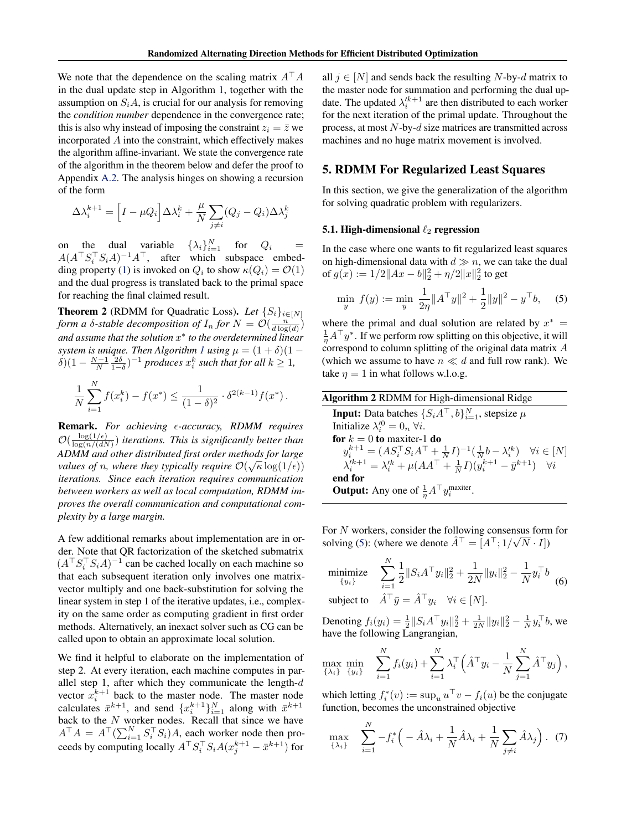<span id="page-3-0"></span>We note that the dependence on the scaling matrix  $A^{\top}A$ in the dual update step in Algorithm [1,](#page-2-0) together with the assumption on  $S_iA$ , is crucial for our analysis for removing the *condition number* dependence in the convergence rate; this is also why instead of imposing the constraint  $z_i = \overline{z}$  we incorporated A into the constraint, which effectively makes the algorithm affine-invariant. We state the convergence rate of the algorithm in the theorem below and defer the proof to Appendix [A.2.](#page-10-0) The analysis hinges on showing a recursion of the form

$$
\Delta \lambda_i^{k+1} = \left[ I - \mu Q_i \right] \Delta \lambda_i^k + \frac{\mu}{N} \sum_{j \neq i} (Q_j - Q_i) \Delta \lambda_j^k
$$

on the dual variable  $\{\lambda_i\}_{i=1}^N$  for  $Q_i$  =  $A(A^\top S_i^\top S_i A)^{-1} A^\top$ , after which subspace embed-ding property [\(1\)](#page-2-0) is invoked on  $Q_i$  to show  $\kappa(Q_i) = \mathcal{O}(1)$ and the dual progress is translated back to the primal space for reaching the final claimed result.

**Theorem 2** (RDMM for Quadratic Loss). Let  $\{S_i\}_{i \in [N]}$ *form a*  $\delta$ -stable decomposition of  $I_n$  for  $N = \mathcal{O}(\frac{n^{\alpha}}{d \log(d)})$ *and assume that the solution* x ∗ *to the overdetermined linear system is unique. Then Algorithm [1](#page-2-0) using*  $\mu = (1 + \delta)(1 - \delta)$  $\delta(1 - \frac{N-1}{N} \frac{2\delta}{1-\delta})^{-1}$  *produces*  $x_i^k$  *such that for all*  $k \ge 1$ *,* 

$$
\frac{1}{N} \sum_{i=1}^{N} f(x_i^k) - f(x^*) \le \frac{1}{(1-\delta)^2} \cdot \delta^{2(k-1)} f(x^*) \, .
$$

Remark. For achieving  $\epsilon$ -accuracy, RDMM requires  $\mathcal{O}(\frac{\log(1/\epsilon)}{\log(n)/\epsilon})$  $\frac{\log(1/\epsilon)}{\log(n/(dN)})$  iterations. This is significantly better than *ADMM and other distributed first order methods for large* √ *values of n, where they typically require*  $\mathcal{O}(\sqrt{\kappa} \log(1/\epsilon))$ *iterations. Since each iteration requires communication between workers as well as local computation, RDMM improves the overall communication and computational complexity by a large margin.*

A few additional remarks about implementation are in order. Note that QR factorization of the sketched submatrix  $(A^{\top} S_i^{\top} S_i A)^{-1}$  can be cached locally on each machine so that each subsequent iteration only involves one matrixvector multiply and one back-substitution for solving the linear system in step 1 of the iterative updates, i.e., complexity on the same order as computing gradient in first order methods. Alternatively, an inexact solver such as CG can be called upon to obtain an approximate local solution.

We find it helpful to elaborate on the implementation of step 2. At every iteration, each machine computes in parallel step 1, after which they communicate the length- $d$ vector  $x_i^{k+1}$  back to the master node. The master node calculates  $\bar{x}^{k+1}$ , and send  $\{x_i^{k+1}\}_{i=1}^N$  along with  $\bar{x}^{k+1}$ back to the  $N$  worker nodes. Recall that since we have  $A^{\top}A = A^{\top}(\sum_{i=1}^{N} S_i^{\top} S_i)A$ , each worker node then proceeds by computing locally  $A^\top S_i^\top S_i A(x_j^{k+1} - \bar{x}^{k+1})$  for

all  $j \in [N]$  and sends back the resulting N-by-d matrix to the master node for summation and performing the dual update. The updated  $\lambda_i'^{k+1}$  are then distributed to each worker for the next iteration of the primal update. Throughout the process, at most N-by-d size matrices are transmitted across machines and no huge matrix movement is involved.

## 5. RDMM For Regularized Least Squares

In this section, we give the generalization of the algorithm for solving quadratic problem with regularizers.

### 5.1. High-dimensional  $\ell_2$  regression

In the case where one wants to fit regularized least squares on high-dimensional data with  $d \gg n$ , we can take the dual of  $g(x) := 1/2||Ax - b||_2^2 + \eta/2||x||_2^2$  to get

$$
\min_{y} f(y) := \min_{y} \frac{1}{2\eta} \|A^{\top}y\|^{2} + \frac{1}{2} \|y\|^{2} - y^{\top}b, \quad (5)
$$

where the primal and dual solution are related by  $x^* =$  $\frac{1}{\eta}A^{\top}y^*$ . If we perform row splitting on this objective, it will correspond to column splitting of the original data matrix A (which we assume to have  $n \ll d$  and full row rank). We take  $\eta = 1$  in what follows w.l.o.g.

Algorithm 2 RDMM for High-dimensional Ridge **Input:** Data batches  $\{S_i A^\top, b\}_{i=1}^N$ , stepsize  $\mu$ Initialize  $\lambda_i^{\prime 0} = 0_n \,\forall i$ . for  $k = 0$  to maxiter-1 do  $y_i^{k+1} = (AS_i^{\top} S_i A^{\top} + \frac{1}{N} I)^{-1} (\frac{1}{N} b - \lambda_i^{\prime k}) \quad \forall i \in [N]$  $\lambda_i^{\prime k+1} = \lambda_i^{\prime k} + \mu (A A^\top + \frac{1}{N} I)(y_i^{k+1} - \bar{y}^{k+1}) \quad \forall i$ end for **Output:** Any one of  $\frac{1}{\eta}A^{\top}y_i^{\text{maxiter}}$ .

For N workers, consider the following consensus form for solving (5): (where we denote  $\hat{A}^{\top} = [A^{\top}; 1/\sqrt{N} \cdot I]$ )

minimize 
$$
\sum_{i=1}^{N} \frac{1}{2} ||S_i A^\top y_i||_2^2 + \frac{1}{2N} ||y_i||_2^2 - \frac{1}{N} y_i^\top b
$$
(6)

subject to  $A^{\dagger} \bar{y} = A^{\dagger} y_i \quad \forall i \in [N].$ 

 $\ddot{\phantom{a}}$ 

Denoting  $f_i(y_i) = \frac{1}{2} ||S_i A^\top y_i||_2^2 + \frac{1}{2N} ||y_i||_2^2 - \frac{1}{N} y_i^\top b$ , we have the following Langrangian,

$$
\max_{\{\lambda_i\}} \min_{\{y_i\}} \quad \sum_{i=1}^N f_i(y_i) + \sum_{i=1}^N \lambda_i^{\top} \left( \hat{A}^{\top} y_i - \frac{1}{N} \sum_{j=1}^N \hat{A}^{\top} y_j \right),
$$

which letting  $f_i^*(v) := \sup_u u^\top v - f_i(u)$  be the conjugate function, becomes the unconstrained objective

$$
\max_{\{\lambda_i\}} \quad \sum_{i=1}^N -f_i^* \Big(-\hat{A}\lambda_i + \frac{1}{N}\hat{A}\lambda_i + \frac{1}{N}\sum_{j \neq i} \hat{A}\lambda_j\Big). \tag{7}
$$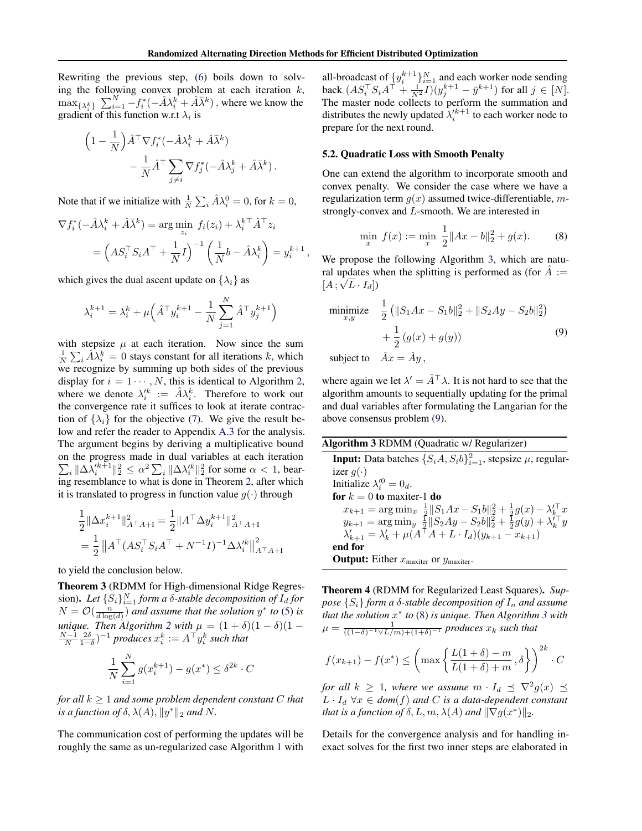<span id="page-4-0"></span>Rewriting the previous step, [\(6\)](#page-3-0) boils down to solving the following convex problem at each iteration  $k$ ,  $\max_{\{\lambda_i^k\}} \sum_{i=1}^N -f_i^*(-\hat{A}\lambda_i^k + \hat{A}\bar{\lambda}^k)$ , where we know the gradient of this function w.r.t  $\lambda_i$  is

$$
\begin{aligned} \left(1 - \frac{1}{N}\right) \hat{A}^\top \nabla f_i^*(- \hat{A} \lambda_i^k + \hat{A} \bar{\lambda}^k) \\ &- \frac{1}{N} \hat{A}^\top \sum_{j \neq i} \nabla f_j^*(- \hat{A} \lambda_j^k + \hat{A} \bar{\lambda}^k) \, . \end{aligned}
$$

Note that if we initialize with  $\frac{1}{N} \sum_i \hat{A} \lambda_i^0 = 0$ , for  $k = 0$ ,

$$
\nabla f_i^*(-\hat{A}\lambda_i^k + \hat{A}\bar{\lambda}^k) = \arg\min_{z_i} f_i(z_i) + \lambda_i^{k\top}\hat{A}^{\top}z_i
$$

$$
= \left(AS_i^{\top}S_iA^{\top} + \frac{1}{N}I\right)^{-1}\left(\frac{1}{N}b - \hat{A}\lambda_i^k\right) = y_i^{k+1},
$$

which gives the dual ascent update on  $\{\lambda_i\}$  as

$$
\lambda_i^{k+1} = \lambda_i^k + \mu \Big(\hat{A}^\top y_i^{k+1} - \frac{1}{N}\sum_{j=1}^N \hat{A}^\top y_j^{k+1}\Big)
$$

with stepsize  $\mu$  at each iteration. Now since the sum  $\frac{1}{N} \sum_i \hat{A} \hat{\lambda}_i^k = 0$  stays constant for all iterations k, which we recognize by summing up both sides of the previous display for  $i = 1 \cdots, N$ , this is identical to Algorithm [2,](#page-3-0) where we denote  $\lambda_i^{jk} := \hat{A}\lambda_i^k$ . Therefore to work out the convergence rate it suffices to look at iterate contraction of  $\{\lambda_i\}$  for the objective [\(7\)](#page-3-0). We give the result below and refer the reader to Appendix [A.3](#page-11-0) for the analysis. The argument begins by deriving a multiplicative bound on the progress made in dual variables at each iteration  $\sum_i \|\Delta \bar{\lambda}_i'^{k+1}\|_2^2 \leq \alpha^2 \sum_i \|\Delta \lambda_i'^{k}\|_2^2$  for some  $\alpha < 1$ , bearing resemblance to what is done in Theorem [2,](#page-3-0) after which it is translated to progress in function value  $q(\cdot)$  through

$$
\frac{1}{2} \|\Delta x_i^{k+1}\|_{A^\top A + I}^2 = \frac{1}{2} \|A^\top \Delta y_i^{k+1}\|_{A^\top A + I}^2
$$
  
= 
$$
\frac{1}{2} \|A^\top (AS_i^\top S_i A^\top + N^{-1}I)^{-1} \Delta \lambda_i'^k\|_{A^\top A + I}^2
$$

to yield the conclusion below.

Theorem 3 (RDMM for High-dimensional Ridge Regression). Let  $\{S_i\}_{i=1}^N$  form a  $\delta$ -stable decomposition of  $I_d$  for  $N = \mathcal{O}(\frac{n}{d \log(d)})$  and assume that the solution  $y^*$  to [\(5\)](#page-3-0) is *unique.* Then Algorithm [2](#page-3-0) with  $\mu = (1 + \delta)(1 - \delta)(1 - \delta)$  $\frac{N-1}{N}\frac{2\delta}{1-\delta}$ )<sup>-1</sup> produces  $x_i^k := A^\top y_i^k$  such that

$$
\frac{1}{N} \sum_{i=1}^{N} g(x_i^{k+1}) - g(x^*) \le \delta^{2k} \cdot C
$$

*for all* k ≥ 1 *and some problem dependent constant* C *that is a function of*  $\delta$ ,  $\lambda(A)$ ,  $||y^*||_2$  *and* N.

The communication cost of performing the updates will be roughly the same as un-regularized case Algorithm [1](#page-2-0) with

all-broadcast of  $\{y_i^{k+1}\}_{i=1}^N$  and each worker node sending back  $(AS_i^{\top} S_i A^{\top} + \frac{1}{N^2} I)(y_j^{k+1} - \bar{y}^{k+1})$  for all  $j \in [N]$ . The master node collects to perform the summation and distributes the newly updated  $\lambda_i'^{k+1}$  to each worker node to prepare for the next round.

## 5.2. Quadratic Loss with Smooth Penalty

One can extend the algorithm to incorporate smooth and convex penalty. We consider the case where we have a regularization term  $g(x)$  assumed twice-differentiable, mstrongly-convex and L-smooth. We are interested in

$$
\min_{x} f(x) := \min_{x} \frac{1}{2} \|Ax - b\|_{2}^{2} + g(x). \tag{8}
$$

We propose the following Algorithm 3, which are natural updates when the splitting is performed as (for  $\hat{A}$  :=  $[A; \sqrt{L} \cdot I_d])$ 

minimize 
$$
\frac{1}{2} (||S_1 Ax - S_1 b||_2^2 + ||S_2 Ay - S_2 b||_2^2) + \frac{1}{2} (g(x) + g(y))
$$
\nsubject to  $\hat{A}_{\text{max}} = \hat{A}_{\text{min}}$ 

subject to  $Ax = Ay$ ,

where again we let  $\lambda' = \hat{A}^\top \lambda$ . It is not hard to see that the algorithm amounts to sequentially updating for the primal and dual variables after formulating the Langarian for the above consensus problem (9).

| <b>Algorithm 3 RDMM</b> (Quadratic w/ Regularizer)                                                                                                                                                     |
|--------------------------------------------------------------------------------------------------------------------------------------------------------------------------------------------------------|
| <b>Input:</b> Data batches $\{S_iA, S_i b\}_{i=1}^2$ , stepsize $\mu$ , regular-                                                                                                                       |
| izer $q(\cdot)$                                                                                                                                                                                        |
| Initialize $\lambda_i^{\prime 0} = 0_d$ .                                                                                                                                                              |
| for $k = 0$ to maxiter-1 do                                                                                                                                                                            |
| $x_{k+1} = \arg\min_{x} \frac{1}{2}   S_1Ax - S_1b  _2^2 + \frac{1}{2}g(x) - \lambda_k'^{\top} x$<br>$y_{k+1} = \arg\min_{y} \frac{1}{2}   S_2Ay - S_2b  _2^2 + \frac{1}{2}g(y) + \lambda_k'^{\top} y$ |
|                                                                                                                                                                                                        |
| $\lambda'_{k+1} = \lambda'_{k} + \mu(A^{\dagger} A + L \cdot I_d)(y_{k+1} - x_{k+1})$                                                                                                                  |
| end for                                                                                                                                                                                                |

**Output:** Either  $x_{\text{maxiter}}$  or  $y_{\text{maxiter}}$ .

Theorem 4 (RDMM for Regularized Least Squares). *Suppose*  $\{S_i\}$  *form a*  $\delta$ -stable decomposition of  $I_n$  and assume *that the solution* x ∗ *to* (8) *is unique. Then Algorithm 3 with*  $\mu = \frac{1}{((1-\delta)^{-1} \vee L/m) + (1+\delta)^{-1}}$  *produces*  $x_k$  *such that* 

$$
f(x_{k+1}) - f(x^*) \le \left(\max\left\{\frac{L(1+\delta) - m}{L(1+\delta) + m}, \delta\right\}\right)^{2k} \cdot C
$$

*for all*  $k \geq 1$ , where we assume  $m \cdot I_d \preceq \nabla^2 g(x) \preceq$  $L \cdot I_d \,\forall x \in dom(f)$  and C is a data-dependent constant *that is a function of*  $\delta$ ,  $L, m, \lambda(A)$  *and*  $\|\nabla g(x^*)\|_2$ *.* 

Details for the convergence analysis and for handling inexact solves for the first two inner steps are elaborated in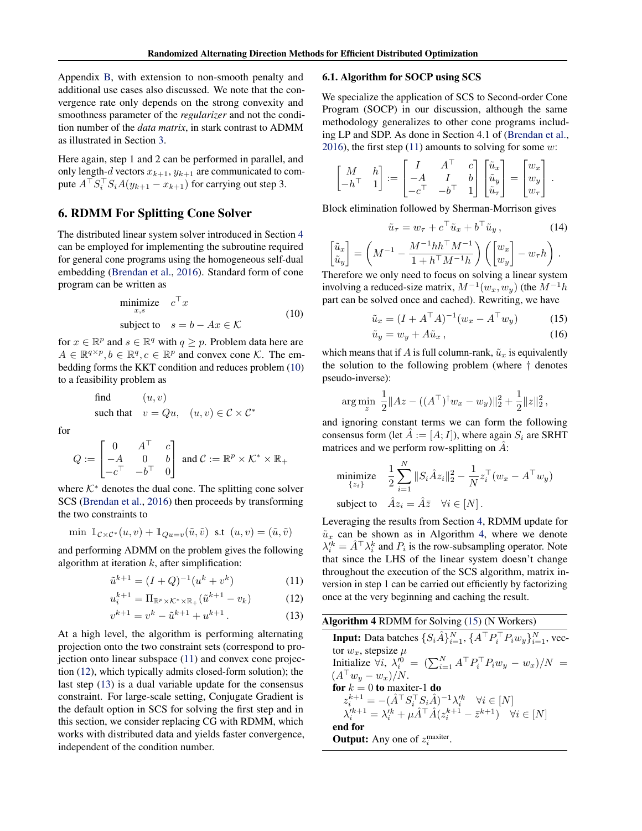<span id="page-5-0"></span>Appendix [B,](#page-13-0) with extension to non-smooth penalty and additional use cases also discussed. We note that the convergence rate only depends on the strong convexity and smoothness parameter of the *regularizer* and not the condition number of the *data matrix*, in stark contrast to ADMM as illustrated in Section [3.](#page-1-0)

Here again, step 1 and 2 can be performed in parallel, and only length-d vectors  $x_{k+1}$ ,  $y_{k+1}$  are communicated to compute  $A^\top S_i^\top S_i A(y_{k+1} - x_{k+1})$  for carrying out step 3.

## 6. RDMM For Splitting Cone Solver

The distributed linear system solver introduced in Section [4](#page-1-0) can be employed for implementing the subroutine required for general cone programs using the homogeneous self-dual embedding [\(Brendan et al.,](#page-8-0) [2016\)](#page-8-0). Standard form of cone program can be written as

$$
\begin{array}{ll}\text{minimize} & c^\top x\\ \text{subject to} & s = b - Ax \in \mathcal{K} \end{array} \tag{10}
$$

for  $x \in \mathbb{R}^p$  and  $s \in \mathbb{R}^q$  with  $q \geq p$ . Problem data here are  $A \in \mathbb{R}^{q \times p}, b \in \mathbb{R}^{q}, c \in \mathbb{R}^{p}$  and convex cone K. The embedding forms the KKT condition and reduces problem (10) to a feasibility problem as

find 
$$
(u, v)
$$
  
such that  $v = Qu$ ,  $(u, v) \in C \times C^*$ 

for

$$
Q := \begin{bmatrix} 0 & A^{\top} & c \\ -A & 0 & b \\ -c^{\top} & -b^{\top} & 0 \end{bmatrix} \text{ and } C := \mathbb{R}^p \times \mathcal{K}^* \times \mathbb{R}_+
$$

where  $K^*$  denotes the dual cone. The splitting cone solver SCS [\(Brendan et al.,](#page-8-0) [2016\)](#page-8-0) then proceeds by transforming the two constraints to

$$
\min \; \mathbb{1}_{\mathcal{C}\times\mathcal{C}^*}(u,v) + \mathbb{1}_{Qu=v}(\tilde{u},\tilde{v}) \; \text{ s.t } (u,v) = (\tilde{u},\tilde{v})
$$

and performing ADMM on the problem gives the following algorithm at iteration  $k$ , after simplification:

$$
\tilde{u}^{k+1} = (I + Q)^{-1} (u^k + v^k)
$$
\n(11)

$$
u_i^{k+1} = \Pi_{\mathbb{R}^p \times \mathcal{K}^* \times \mathbb{R}_+}(\tilde{u}^{k+1} - v_k)
$$
 (12)

$$
v^{k+1} = v^k - \tilde{u}^{k+1} + u^{k+1}.
$$
 (13)

At a high level, the algorithm is performing alternating projection onto the two constraint sets (correspond to projection onto linear subspace (11) and convex cone projection (12), which typically admits closed-form solution); the last step (13) is a dual variable update for the consensus constraint. For large-scale setting, Conjugate Gradient is the default option in SCS for solving the first step and in this section, we consider replacing CG with RDMM, which works with distributed data and yields faster convergence, independent of the condition number.

## 6.1. Algorithm for SOCP using SCS

We specialize the application of SCS to Second-order Cone Program (SOCP) in our discussion, although the same methodology generalizes to other cone programs including LP and SDP. As done in Section 4.1 of [\(Brendan et al.,](#page-8-0) [2016\)](#page-8-0), the first step  $(11)$  amounts to solving for some w:

$$
\begin{bmatrix} M & h \\ -h^{\top} & 1 \end{bmatrix} := \begin{bmatrix} I & A^{\top} & c \\ -A & I & b \\ -c^{\top} & -b^{\top} & 1 \end{bmatrix} \begin{bmatrix} \tilde{u}_x \\ \tilde{u}_y \\ \tilde{u}_\tau \end{bmatrix} = \begin{bmatrix} w_x \\ w_y \\ w_\tau \end{bmatrix}.
$$

Block elimination followed by Sherman-Morrison gives

$$
\tilde{u}_{\tau} = w_{\tau} + c^{\top} \tilde{u}_x + b^{\top} \tilde{u}_y, \qquad (14)
$$

$$
\begin{bmatrix} \tilde{u}_x \\ \tilde{u}_y \end{bmatrix} = \left( M^{-1} - \frac{M^{-1}hh^\top M^{-1}}{1 + h^\top M^{-1}h} \right) \left( \begin{bmatrix} w_x \\ w_y \end{bmatrix} - w_\tau h \right).
$$

Therefore we only need to focus on solving a linear system involving a reduced-size matrix,  $M^{-1}(w_x, w_y)$  (the  $M^{-1}h$ part can be solved once and cached). Rewriting, we have

$$
\tilde{u}_x = (I + A^\top A)^{-1} (w_x - A^\top w_y) \tag{15}
$$

$$
\tilde{u}_y = w_y + A\tilde{u}_x, \qquad (16)
$$

which means that if A is full column-rank,  $\tilde{u}_x$  is equivalently the solution to the following problem (where † denotes pseudo-inverse):

$$
\arg\min_{z} \frac{1}{2} \|Az - ((A^{\top})^{\dagger} w_x - w_y)\|_2^2 + \frac{1}{2} \|z\|_2^2,
$$

and ignoring constant terms we can form the following consensus form (let  $\hat{A} := [A; I]$ ), where again  $S_i$  are SRHT matrices and we perform row-splitting on  $\hat{A}$ :

$$
\begin{array}{ll}\text{minimize} & \frac{1}{2} \sum_{i=1}^{N} \|S_i \hat{A} z_i\|_2^2 - \frac{1}{N} z_i^\top (w_x - A^\top w_y) \\ \text{subject to} & \hat{A} z_i = \hat{A} \bar{z} \quad \forall i \in [N] \, .\end{array}
$$

Leveraging the results from Section [4,](#page-1-0) RDMM update for  $\tilde{u}_x$  can be shown as in Algorithm 4, where we denote  $\lambda_i^{\prime k} = \hat{A}^\top \lambda_i^k$  and  $P_i$  is the row-subsampling operator. Note that since the LHS of the linear system doesn't change throughout the execution of the SCS algorithm, matrix inversion in step 1 can be carried out efficiently by factorizing once at the very beginning and caching the result.

| <b>Algorithm 4 RDMM</b> for Solving (15) (N Workers)                                                                           |
|--------------------------------------------------------------------------------------------------------------------------------|
| <b>Input:</b> Data batches $\{S_i \hat{A}\}_{i=1}^N$ , $\{A^\top P_i^\top P_i w_i\}_{i=1}^N$ , vec-                            |
| tor $w_x$ , stepsize $\mu$                                                                                                     |
| Initialize $\forall i$ , $\lambda_i^{\prime 0} = (\sum_{i=1}^N A^\top P_i^\top P_i w_y - w_x)/N =$                             |
| $(A^\top w_u - w_x)/N$ .                                                                                                       |
| for $k = 0$ to maxiter-1 do                                                                                                    |
| $z_i^{k+1} = -(\hat{A}^\top S_i^\top S_i \hat{A})^{-1} \lambda_i^{\prime k} \quad \forall i \in [N]$                           |
| $\lambda_i^{\prime k+1} = \lambda_i^{\prime k} + \mu \hat{A}^\top \hat{A} (z_i^{k+1} - \bar{z}^{k+1}) \quad \forall i \in [N]$ |
| end for                                                                                                                        |
| <b>Output:</b> Any one of $z_i^{\text{maxiter}}$ .                                                                             |
|                                                                                                                                |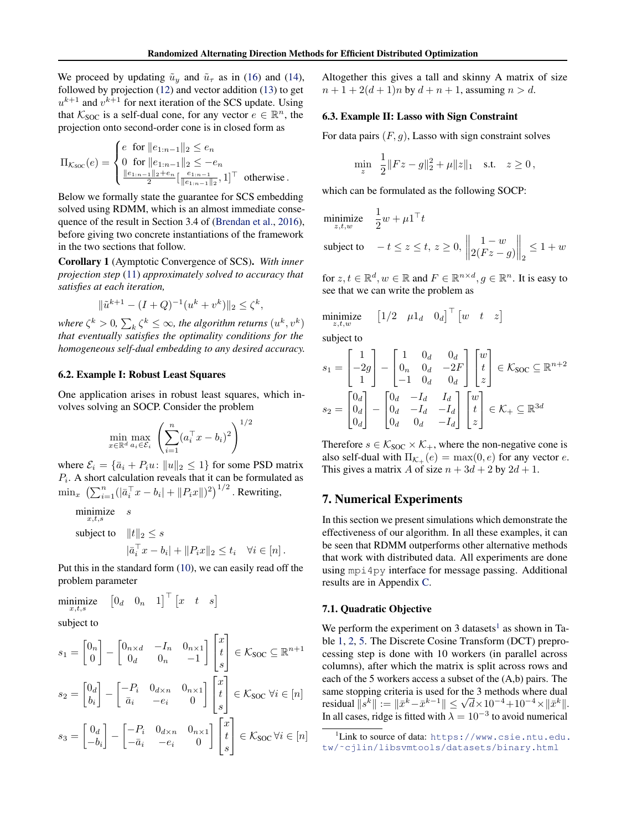<span id="page-6-0"></span>We proceed by updating  $\tilde{u}_y$  and  $\tilde{u}_\tau$  as in [\(16\)](#page-5-0) and [\(14\)](#page-5-0), followed by projection [\(12\)](#page-5-0) and vector addition [\(13\)](#page-5-0) to get  $u^{k+1}$  and  $v^{k+1}$  for next iteration of the SCS update. Using that  $K_{\text{SOC}}$  is a self-dual cone, for any vector  $e \in \mathbb{R}^n$ , the projection onto second-order cone is in closed form as

$$
\Pi_{\mathcal{K}_{\text{SOC}}}(e) = \begin{cases} e \text{ for } \|e_{1:n-1}\|_2 \le e_n \\ 0 \text{ for } \|e_{1:n-1}\|_2 \le -e_n \\ \frac{\|e_{1:n-1}\|_2 + e_n}{2} [\frac{e_{1:n-1}}{\|e_{1:n-1}\|_2}, 1]^\top \text{ otherwise.} \end{cases}
$$

Below we formally state the guarantee for SCS embedding solved using RDMM, which is an almost immediate consequence of the result in Section 3.4 of [\(Brendan et al.,](#page-8-0) [2016\)](#page-8-0), before giving two concrete instantiations of the framework in the two sections that follow.

Corollary 1 (Aymptotic Convergence of SCS). *With inner projection step* [\(11\)](#page-5-0) *approximately solved to accuracy that satisfies at each iteration,*

$$
\|\tilde{u}^{k+1} - (I+Q)^{-1}(u^k + v^k)\|_2 \le \zeta^k
$$

,

where  $\zeta^k > 0$ ,  $\sum_k \zeta^k \leq \infty$ , the algorithm returns  $(u^k, v^k)$ *that eventually satisfies the optimality conditions for the homogeneous self-dual embedding to any desired accuracy.*

### 6.2. Example I: Robust Least Squares

One application arises in robust least squares, which involves solving an SOCP. Consider the problem

$$
\min_{x \in \mathbb{R}^d} \max_{a_i \in \mathcal{E}_i} \left( \sum_{i=1}^n (a_i^\top x - b_i)^2 \right)^{1/2}
$$

where  $\mathcal{E}_i = {\bar{a}_i + P_i u : ||u||_2 \le 1}$  for some PSD matrix  $P_i$ . A short calculation reveals that it can be formulated as  $\min_x \; \left(\sum_{i=1}^n (|\bar a_i^\top x-b_i|+ \|P_ix\|)^2\right)^{1/2}$  . Rewriting,

minimize  $x,t,s$ s

subject to  $||t||_2 \leq s$  $|\bar{a}_i^{\top} x - b_i| + ||P_i x||_2 \le t_i \quad \forall i \in [n].$ 

Put this in the standard form [\(10\)](#page-5-0), we can easily read off the problem parameter

$$
\underset{x,t,s}{\text{minimize}} \quad \begin{bmatrix} 0_d & 0_n & 1 \end{bmatrix}^\top \begin{bmatrix} x & t & s \end{bmatrix}
$$

subject to

$$
s_1 = \begin{bmatrix} 0_n \\ 0 \end{bmatrix} - \begin{bmatrix} 0_{n \times d} & -I_n & 0_{n \times 1} \\ 0_d & 0_n & -1 \end{bmatrix} \begin{bmatrix} x \\ t \\ s \end{bmatrix} \in \mathcal{K}_{\text{SOC}} \subseteq \mathbb{R}^{n+1}
$$
  
\n
$$
s_2 = \begin{bmatrix} 0_d \\ b_i \end{bmatrix} - \begin{bmatrix} -P_i & 0_{d \times n} & 0_{n \times 1} \\ \bar{a}_i & -e_i & 0 \end{bmatrix} \begin{bmatrix} x \\ t \\ s \end{bmatrix} \in \mathcal{K}_{\text{SOC}} \forall i \in [n]
$$
  
\n
$$
s_3 = \begin{bmatrix} 0_d \\ -b_i \end{bmatrix} - \begin{bmatrix} -P_i & 0_{d \times n} & 0_{n \times 1} \\ -\bar{a}_i & -e_i & 0 \end{bmatrix} \begin{bmatrix} x \\ t \\ s \end{bmatrix} \in \mathcal{K}_{\text{SOC}} \forall i \in [n]
$$

Altogether this gives a tall and skinny A matrix of size  $n + 1 + 2(d + 1)n$  by  $d + n + 1$ , assuming  $n > d$ .

### 6.3. Example II: Lasso with Sign Constraint

For data pairs  $(F, g)$ , Lasso with sign constraint solves

$$
\min_{z} \ \frac{1}{2} \|Fz - g\|_2^2 + \mu \|z\|_1 \quad \text{s.t.} \quad z \ge 0,
$$

which can be formulated as the following SOCP:

$$
\begin{aligned}\n\text{minimize} & \quad \frac{1}{2} w + \mu \mathbf{1}^\top t \\
\text{subject to} & \quad -t \le z \le t, \, z \ge 0, \, \left\| \begin{matrix} 1 - w \\ 2(Fz - g) \end{matrix} \right\|_2 \le 1 + w\n\end{aligned}
$$

for  $z, t \in \mathbb{R}^d, w \in \mathbb{R}$  and  $F \in \mathbb{R}^{n \times d}, g \in \mathbb{R}^n$ . It is easy to see that we can write the problem as

$$
\underset{z,t,w}{\text{minimize}} \quad [1/2 \quad \mu 1_d \quad 0_d]^{\top} \begin{bmatrix} w & t & z \end{bmatrix}
$$

subject to

$$
s_1 = \begin{bmatrix} 1 \\ -2g \\ 1 \end{bmatrix} - \begin{bmatrix} 1 & 0_d & 0_d \\ 0_n & 0_d & -2F \\ -1 & 0_d & 0_d \end{bmatrix} \begin{bmatrix} w \\ t \\ z \end{bmatrix} \in \mathcal{K}_{\text{SOC}} \subseteq \mathbb{R}^{n+2}
$$

$$
s_2 = \begin{bmatrix} 0_d \\ 0_d \\ 0_d \end{bmatrix} - \begin{bmatrix} 0_d & -I_d & I_d \\ 0_d & -I_d & -I_d \\ 0_d & 0_d & -I_d \end{bmatrix} \begin{bmatrix} w \\ t \\ z \end{bmatrix} \in \mathcal{K}_+ \subseteq \mathbb{R}^{3d}
$$

Therefore  $s \in \mathcal{K}_{\text{SOC}} \times \mathcal{K}_{+}$ , where the non-negative cone is also self-dual with  $\Pi_{\mathcal{K}_{+}}(e) = \max(0, e)$  for any vector e. This gives a matrix A of size  $n + 3d + 2$  by  $2d + 1$ .

## 7. Numerical Experiments

In this section we present simulations which demonstrate the effectiveness of our algorithm. In all these examples, it can be seen that RDMM outperforms other alternative methods that work with distributed data. All experiments are done using mpi4py interface for message passing. Additional results are in Appendix [C.](#page-17-0)

#### 7.1. Quadratic Objective

We perform the experiment on 3 datasets<sup>1</sup> as shown in Table [1,](#page-7-0) [2,](#page-7-0) [5.](#page-17-0) The Discrete Cosine Transform (DCT) preprocessing step is done with 10 workers (in parallel across columns), after which the matrix is split across rows and each of the 5 workers access a subset of the (A,b) pairs. The same stopping criteria is used for the 3 methods where dual same stopping criteria is used for the 3 methods where dual<br>residual  $||s^k|| := ||\bar{x}^k - \bar{x}^{k-1}|| \leq \sqrt{d} \times 10^{-4} + 10^{-4} \times ||\bar{x}^k||.$ In all cases, ridge is fitted with  $\lambda = 10^{-3}$  to avoid numerical

 $^1$ Link to source of data: [https://www.csie.ntu.edu.](https://www.csie.ntu.edu.tw/~cjlin/libsvmtools/datasets/binary.html) [tw/˜cjlin/libsvmtools/datasets/binary.html](https://www.csie.ntu.edu.tw/~cjlin/libsvmtools/datasets/binary.html)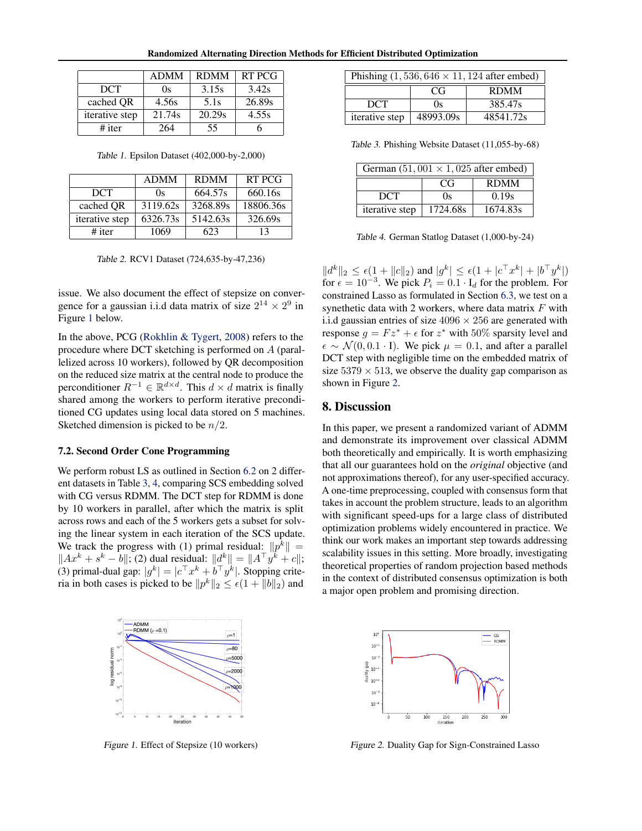Randomized Alternating Direction Methods for Efficient Distributed Optimization

<span id="page-7-0"></span>

|                | <b>ADMM</b> | <b>RDMM</b> | RT PCG |
|----------------|-------------|-------------|--------|
| <b>DCT</b>     | Os          | 3.15s       | 3.42s  |
| cached QR      | 4.56s       | 5.1s        | 26.89s |
| iterative step | 21.74s      | 20.29s      | 4.55s  |
| $#$ iter       | 264         | 55          |        |

Table 1. Epsilon Dataset (402,000-by-2,000)

|                | <b>ADMM</b> | <b>RDMM</b> | RT PCG    |
|----------------|-------------|-------------|-----------|
| <b>DCT</b>     | (x)         | 664.57s     | 660.16s   |
| cached OR      | 3119.62s    | 3268.89s    | 18806.36s |
| iterative step | 6326.73s    | 5142.63s    | 326.69s   |
| $#$ iter       | 1069        | 623         | 13        |

Table 2. RCV1 Dataset (724,635-by-47,236)

issue. We also document the effect of stepsize on convergence for a gaussian i.i.d data matrix of size  $2^{14} \times 2^9$  in Figure 1 below.

In the above, PCG [\(Rokhlin & Tygert,](#page-8-0) [2008\)](#page-8-0) refers to the procedure where DCT sketching is performed on A (parallelized across 10 workers), followed by QR decomposition on the reduced size matrix at the central node to produce the perconditioner  $R^{-1} \in \mathbb{R}^{d \times d}$ . This  $d \times d$  matrix is finally shared among the workers to perform iterative preconditioned CG updates using local data stored on 5 machines. Sketched dimension is picked to be  $n/2$ .

## 7.2. Second Order Cone Programming

We perform robust LS as outlined in Section [6.2](#page-6-0) on 2 different datasets in Table 3, 4, comparing SCS embedding solved with CG versus RDMM. The DCT step for RDMM is done by 10 workers in parallel, after which the matrix is split across rows and each of the 5 workers gets a subset for solving the linear system in each iteration of the SCS update. We track the progress with (1) primal residual:  $||p^k|| =$  $||Ax^{k} + s^{k} - b||$ ; (2) dual residual:  $||d^{k}|| = ||A^{\top}y^{k} + c||$ ; (3) primal-dual gap:  $|g^k| = |c^\top x^k + b^\top y^k|$ . Stopping criteria in both cases is picked to be  $||p^k||_2 \le \epsilon(1 + ||b||_2)$  and



Figure 1. Effect of Stepsize (10 workers)

| Phishing $(1, 536, 646 \times 11, 124$ after embed) |                   |           |  |
|-----------------------------------------------------|-------------------|-----------|--|
|                                                     | <b>RDMM</b><br>CG |           |  |
| <b>DCT</b>                                          | 0s                | 385.47s   |  |
| iterative step                                      | 48993.09s         | 48541.72s |  |

Table 3. Phishing Website Dataset (11,055-by-68)

| German $(51,001 \times 1,025$ after embed) |                   |          |  |
|--------------------------------------------|-------------------|----------|--|
|                                            | <b>RDMM</b><br>CG |          |  |
| <b>DCT</b>                                 | (x)               | 0.19s    |  |
| iterative step                             | 1724.68s          | 1674.83s |  |

Table 4. German Statlog Dataset (1,000-by-24)

 $||d^k||_2 \leq \epsilon(1+||c||_2)$  and  $|g^k| \leq \epsilon(1+|c^{\top}x^k|+|b^{\top}y^k|)$ for  $\epsilon = 10^{-3}$ . We pick  $P_i = 0.1 \cdot I_d$  for the problem. For constrained Lasso as formulated in Section [6.3,](#page-6-0) we test on a synethetic data with 2 workers, where data matrix  $F$  with i.i.d gaussian entries of size  $4096 \times 256$  are generated with response  $g = Fz^* + \epsilon$  for  $z^*$  with 50% sparsity level and  $\epsilon \sim \mathcal{N}(0, 0.1 \cdot I)$ . We pick  $\mu = 0.1$ , and after a parallel DCT step with negligible time on the embedded matrix of size  $5379 \times 513$ , we observe the duality gap comparison as shown in Figure 2.

## 8. Discussion

In this paper, we present a randomized variant of ADMM and demonstrate its improvement over classical ADMM both theoretically and empirically. It is worth emphasizing that all our guarantees hold on the *original* objective (and not approximations thereof), for any user-specified accuracy. A one-time preprocessing, coupled with consensus form that takes in account the problem structure, leads to an algorithm with significant speed-ups for a large class of distributed optimization problems widely encountered in practice. We think our work makes an important step towards addressing scalability issues in this setting. More broadly, investigating theoretical properties of random projection based methods in the context of distributed consensus optimization is both a major open problem and promising direction.



Figure 2. Duality Gap for Sign-Constrained Lasso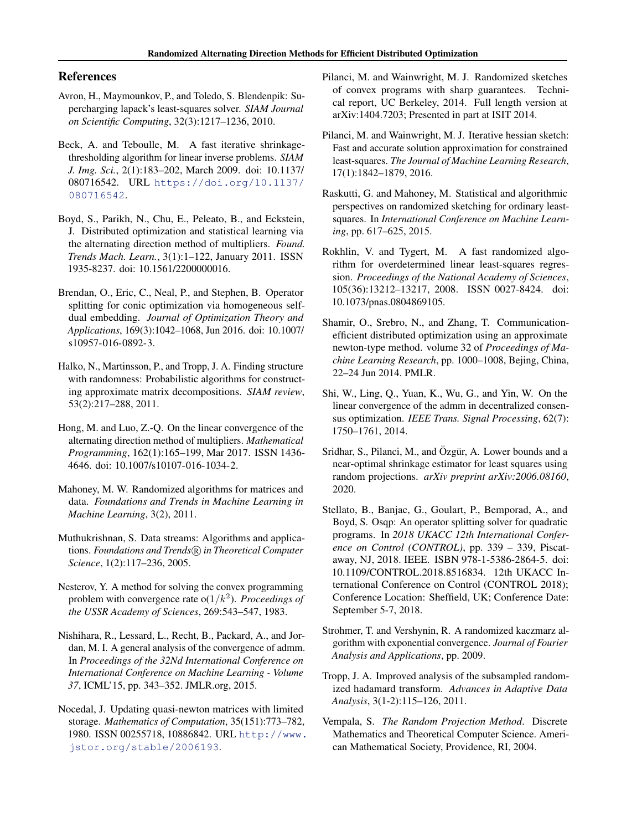## <span id="page-8-0"></span>References

- Avron, H., Maymounkov, P., and Toledo, S. Blendenpik: Supercharging lapack's least-squares solver. *SIAM Journal on Scientific Computing*, 32(3):1217–1236, 2010.
- Beck, A. and Teboulle, M. A fast iterative shrinkagethresholding algorithm for linear inverse problems. *SIAM J. Img. Sci.*, 2(1):183–202, March 2009. doi: 10.1137/ 080716542. URL [https://doi.org/10.1137/](https://doi.org/10.1137/080716542) [080716542](https://doi.org/10.1137/080716542).
- Boyd, S., Parikh, N., Chu, E., Peleato, B., and Eckstein, J. Distributed optimization and statistical learning via the alternating direction method of multipliers. *Found. Trends Mach. Learn.*, 3(1):1–122, January 2011. ISSN 1935-8237. doi: 10.1561/2200000016.
- Brendan, O., Eric, C., Neal, P., and Stephen, B. Operator splitting for conic optimization via homogeneous selfdual embedding. *Journal of Optimization Theory and Applications*, 169(3):1042–1068, Jun 2016. doi: 10.1007/ s10957-016-0892-3.
- Halko, N., Martinsson, P., and Tropp, J. A. Finding structure with randomness: Probabilistic algorithms for constructing approximate matrix decompositions. *SIAM review*, 53(2):217–288, 2011.
- Hong, M. and Luo, Z.-Q. On the linear convergence of the alternating direction method of multipliers. *Mathematical Programming*, 162(1):165–199, Mar 2017. ISSN 1436- 4646. doi: 10.1007/s10107-016-1034-2.
- Mahoney, M. W. Randomized algorithms for matrices and data. *Foundations and Trends in Machine Learning in Machine Learning*, 3(2), 2011.
- Muthukrishnan, S. Data streams: Algorithms and applications. *Foundations and Trends* <sup>R</sup> *in Theoretical Computer Science*, 1(2):117–236, 2005.
- Nesterov, Y. A method for solving the convex programming problem with convergence rate  $o(1/k^2)$ . *Proceedings of the USSR Academy of Sciences*, 269:543–547, 1983.
- Nishihara, R., Lessard, L., Recht, B., Packard, A., and Jordan, M. I. A general analysis of the convergence of admm. In *Proceedings of the 32Nd International Conference on International Conference on Machine Learning - Volume 37*, ICML'15, pp. 343–352. JMLR.org, 2015.
- Nocedal, J. Updating quasi-newton matrices with limited storage. *Mathematics of Computation*, 35(151):773–782, 1980. ISSN 00255718, 10886842. URL [http://www.](http://www.jstor.org/stable/2006193) [jstor.org/stable/2006193](http://www.jstor.org/stable/2006193).
- Pilanci, M. and Wainwright, M. J. Randomized sketches of convex programs with sharp guarantees. Technical report, UC Berkeley, 2014. Full length version at arXiv:1404.7203; Presented in part at ISIT 2014.
- Pilanci, M. and Wainwright, M. J. Iterative hessian sketch: Fast and accurate solution approximation for constrained least-squares. *The Journal of Machine Learning Research*, 17(1):1842–1879, 2016.
- Raskutti, G. and Mahoney, M. Statistical and algorithmic perspectives on randomized sketching for ordinary leastsquares. In *International Conference on Machine Learning*, pp. 617–625, 2015.
- Rokhlin, V. and Tygert, M. A fast randomized algorithm for overdetermined linear least-squares regression. *Proceedings of the National Academy of Sciences*, 105(36):13212–13217, 2008. ISSN 0027-8424. doi: 10.1073/pnas.0804869105.
- Shamir, O., Srebro, N., and Zhang, T. Communicationefficient distributed optimization using an approximate newton-type method. volume 32 of *Proceedings of Machine Learning Research*, pp. 1000–1008, Bejing, China, 22–24 Jun 2014. PMLR.
- Shi, W., Ling, Q., Yuan, K., Wu, G., and Yin, W. On the linear convergence of the admm in decentralized consensus optimization. *IEEE Trans. Signal Processing*, 62(7): 1750–1761, 2014.
- Sridhar, S., Pilanci, M., and Özgür, A. Lower bounds and a near-optimal shrinkage estimator for least squares using random projections. *arXiv preprint arXiv:2006.08160*, 2020.
- Stellato, B., Banjac, G., Goulart, P., Bemporad, A., and Boyd, S. Osqp: An operator splitting solver for quadratic programs. In *2018 UKACC 12th International Conference on Control (CONTROL)*, pp. 339 – 339, Piscataway, NJ, 2018. IEEE. ISBN 978-1-5386-2864-5. doi: 10.1109/CONTROL.2018.8516834. 12th UKACC International Conference on Control (CONTROL 2018); Conference Location: Sheffield, UK; Conference Date: September 5-7, 2018.
- Strohmer, T. and Vershynin, R. A randomized kaczmarz algorithm with exponential convergence. *Journal of Fourier Analysis and Applications*, pp. 2009.
- Tropp, J. A. Improved analysis of the subsampled randomized hadamard transform. *Advances in Adaptive Data Analysis*, 3(1-2):115–126, 2011.
- Vempala, S. *The Random Projection Method*. Discrete Mathematics and Theoretical Computer Science. American Mathematical Society, Providence, RI, 2004.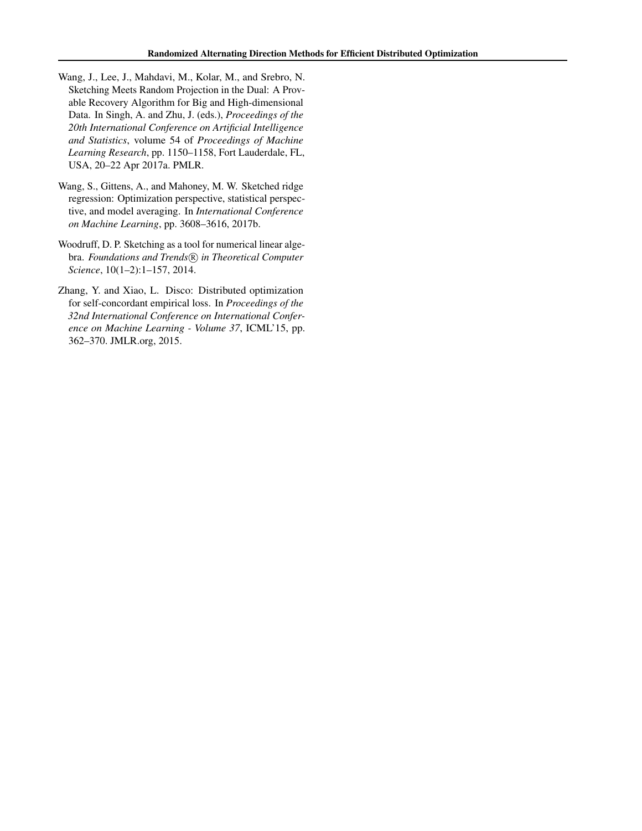- <span id="page-9-0"></span>Wang, J., Lee, J., Mahdavi, M., Kolar, M., and Srebro, N. Sketching Meets Random Projection in the Dual: A Provable Recovery Algorithm for Big and High-dimensional Data. In Singh, A. and Zhu, J. (eds.), *Proceedings of the 20th International Conference on Artificial Intelligence and Statistics*, volume 54 of *Proceedings of Machine Learning Research*, pp. 1150–1158, Fort Lauderdale, FL, USA, 20–22 Apr 2017a. PMLR.
- Wang, S., Gittens, A., and Mahoney, M. W. Sketched ridge regression: Optimization perspective, statistical perspective, and model averaging. In *International Conference on Machine Learning*, pp. 3608–3616, 2017b.
- Woodruff, D. P. Sketching as a tool for numerical linear algebra. Foundations and Trends<sup>(R)</sup> in Theoretical Computer *Science*, 10(1–2):1–157, 2014.
- Zhang, Y. and Xiao, L. Disco: Distributed optimization for self-concordant empirical loss. In *Proceedings of the 32nd International Conference on International Conference on Machine Learning - Volume 37*, ICML'15, pp. 362–370. JMLR.org, 2015.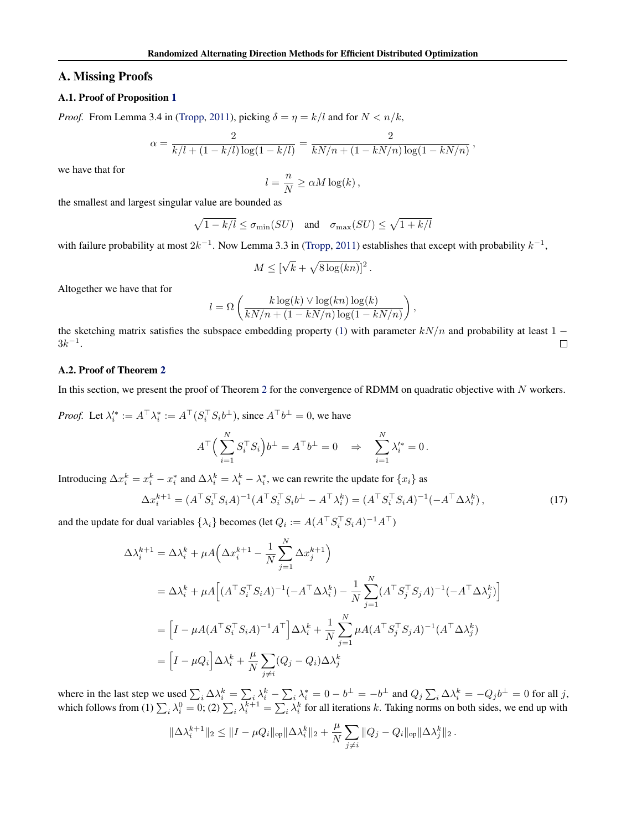### <span id="page-10-0"></span>A. Missing Proofs

### A.1. Proof of Proposition [1](#page-2-0)

*Proof.* From Lemma 3.4 in [\(Tropp,](#page-8-0) [2011\)](#page-8-0), picking  $\delta = \eta = k/l$  and for  $N < n/k$ ,

$$
\alpha = \frac{2}{k/l + (1 - k/l) \log(1 - k/l)} = \frac{2}{kN/n + (1 - kN/n) \log(1 - kN/n)},
$$

we have that for

$$
l = \frac{n}{N} \ge \alpha M \log(k),
$$

the smallest and largest singular value are bounded as

$$
\sqrt{1 - k/l} \le \sigma_{\min}(SU)
$$
 and  $\sigma_{\max}(SU) \le \sqrt{1 + k/l}$ 

with failure probability at most  $2k^{-1}$ . Now Lemma 3.3 in [\(Tropp,](#page-8-0) [2011\)](#page-8-0) establishes that except with probability  $k^{-1}$ ,

$$
M \leq [\sqrt{k} + \sqrt{8 \log(kn)}]^2.
$$

Altogether we have that for

$$
l = \Omega\left(\frac{k \log(k) \vee \log(kn) \log(k)}{kN/n + (1 - kN/n) \log(1 - kN/n)}\right),\,
$$

the sketching matrix satisfies the subspace embedding property [\(1\)](#page-2-0) with parameter  $kN/n$  and probability at least 1 −  $3k^{-1}$ .  $\Box$ 

### A.2. Proof of Theorem [2](#page-3-0)

In this section, we present the proof of Theorem [2](#page-3-0) for the convergence of RDMM on quadratic objective with N workers.

*Proof.* Let  $\lambda_i^* := A^\top \lambda_i^* := A^\top (S_i^\top S_i b^\perp)$ , since  $A^\top b^\perp = 0$ , we have

$$
A^{\top} \Big( \sum_{i=1}^N S_i^{\top} S_i \Big) b^{\perp} = A^{\top} b^{\perp} = 0 \quad \Rightarrow \quad \sum_{i=1}^N \lambda_i^{\prime *} = 0 \, .
$$

Introducing  $\Delta x_i^k = x_i^k - x_i^*$  and  $\Delta \lambda_i^k = \lambda_i^k - \lambda_i^*$ , we can rewrite the update for  $\{x_i\}$  as

$$
\Delta x_i^{k+1} = (A^{\top} S_i^{\top} S_i A)^{-1} (A^{\top} S_i^{\top} S_i b^{\perp} - A^{\top} \lambda_i^k) = (A^{\top} S_i^{\top} S_i A)^{-1} (-A^{\top} \Delta \lambda_i^k), \tag{17}
$$

and the update for dual variables  $\{\lambda_i\}$  becomes (let  $Q_i := A(A^\top S_i^\top S_i A)^{-1} A^\top$ )

$$
\Delta \lambda_i^{k+1} = \Delta \lambda_i^k + \mu A \Big( \Delta x_i^{k+1} - \frac{1}{N} \sum_{j=1}^N \Delta x_j^{k+1} \Big)
$$
  
=  $\Delta \lambda_i^k + \mu A \Big[ (A^\top S_i^\top S_i A)^{-1} (-A^\top \Delta \lambda_i^k) - \frac{1}{N} \sum_{j=1}^N (A^\top S_j^\top S_j A)^{-1} (-A^\top \Delta \lambda_j^k) \Big]$   
=  $\Big[ I - \mu A (A^\top S_i^\top S_i A)^{-1} A^\top \Big] \Delta \lambda_i^k + \frac{1}{N} \sum_{j=1}^N \mu A (A^\top S_j^\top S_j A)^{-1} (A^\top \Delta \lambda_j^k)$   
=  $\Big[ I - \mu Q_i \Big] \Delta \lambda_i^k + \frac{\mu}{N} \sum_{j \neq i} (Q_j - Q_i) \Delta \lambda_j^k$ 

where in the last step we used  $\sum_i \Delta \lambda_i^k = \sum_i \lambda_i^k - \sum_i \lambda_i^* = 0 - b^{\perp} = -b^{\perp}$  and  $Q_j \sum_i \Delta \lambda_i^k = -Q_j b^{\perp} = 0$  for all j, which follows from (1)  $\sum_i \lambda_i^0 = 0$ ; (2)  $\sum_i \lambda_i^{k+1} = \sum_i \lambda_i^k$  for all iterations k. Taking norms on both sides, we end up with

$$
\|\Delta \lambda_i^{k+1}\|_2 \le \|I - \mu Q_i\|_{\text{op}} \|\Delta \lambda_i^k\|_2 + \frac{\mu}{N} \sum_{j \ne i} \|Q_j - Q_i\|_{\text{op}} \|\Delta \lambda_j^k\|_2.
$$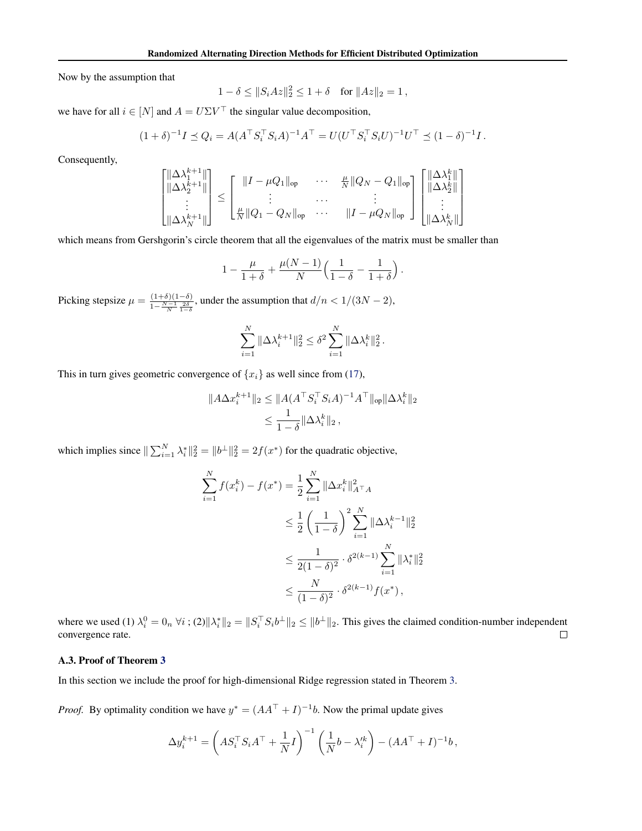<span id="page-11-0"></span>Now by the assumption that

$$
1 - \delta \le ||S_i Az||_2^2 \le 1 + \delta \quad \text{for } ||Az||_2 = 1 \,,
$$

we have for all  $i \in [N]$  and  $A = U \Sigma V^{\top}$  the singular value decomposition,

$$
(1 + \delta)^{-1}I \preceq Q_i = A(A^\top S_i^\top S_i A)^{-1} A^\top = U(U^\top S_i^\top S_i U)^{-1} U^\top \preceq (1 - \delta)^{-1} I.
$$

Consequently,

$$
\begin{bmatrix}\n\|\Delta \lambda_1^{k+1}\| \\
\|\Delta \lambda_2^{k+1}\| \\
\vdots \\
\|\Delta \lambda_N^{k+1}\|\n\end{bmatrix}\n\leq\n\begin{bmatrix}\n\|I - \mu Q_1\|_{\text{op}} & \cdots & \frac{\mu}{N} \|Q_N - Q_1\|_{\text{op}} \\
\vdots & \cdots & \vdots \\
\frac{\mu}{N} \|Q_1 - Q_N\|_{\text{op}} & \cdots & \|I - \mu Q_N\|_{\text{op}}\n\end{bmatrix}\n\begin{bmatrix}\n\|\Delta \lambda_1^k\| \\
\|\Delta \lambda_2^k\| \\
\vdots \\
\|\Delta \lambda_N^k\|\n\end{bmatrix}
$$

which means from Gershgorin's circle theorem that all the eigenvalues of the matrix must be smaller than

$$
1-\frac{\mu}{1+\delta}+\frac{\mu(N-1)}{N}\Big(\frac{1}{1-\delta}-\frac{1}{1+\delta}\Big)\,.
$$

Picking stepsize  $\mu = \frac{(1+\delta)(1-\delta)}{1-\frac{N-1}{N}\frac{2\delta}{1-\delta}}$ , under the assumption that  $d/n < 1/(3N-2)$ ,

$$
\sum_{i=1}^N \|\Delta \lambda_i^{k+1}\|_2^2 \le \delta^2 \sum_{i=1}^N \|\Delta \lambda_i^{k}\|_2^2.
$$

This in turn gives geometric convergence of  $\{x_i\}$  as well since from [\(17\)](#page-10-0),

$$
||A\Delta x_i^{k+1}||_2 \le ||A(A^\top S_i^\top S_i A)^{-1} A^\top||_{op} ||\Delta \lambda_i^k||_2
$$
  

$$
\le \frac{1}{1-\delta} ||\Delta \lambda_i^k||_2,
$$

which implies since  $\|\sum_{i=1}^{N} \lambda_i^*\|_2^2 = \|b^{\perp}\|_2^2 = 2f(x^*)$  for the quadratic objective,

$$
\sum_{i=1}^{N} f(x_i^k) - f(x^*) = \frac{1}{2} \sum_{i=1}^{N} \|\Delta x_i^k\|_{A^\top A}^2
$$
  
\n
$$
\leq \frac{1}{2} \left(\frac{1}{1-\delta}\right)^2 \sum_{i=1}^{N} \|\Delta \lambda_i^{k-1}\|_2^2
$$
  
\n
$$
\leq \frac{1}{2(1-\delta)^2} \cdot \delta^{2(k-1)} \sum_{i=1}^{N} \|\lambda_i^*\|_2^2
$$
  
\n
$$
\leq \frac{N}{(1-\delta)^2} \cdot \delta^{2(k-1)} f(x^*),
$$

where we used (1)  $\lambda_i^0 = 0$ ,  $\forall i$ ; (2)  $\|\lambda_i^*\|_2 = \|S_i^\top S_i b^\perp\|_2 \le \|b^\perp\|_2$ . This gives the claimed condition-number independent convergence rate.  $\Box$ 

## A.3. Proof of Theorem [3](#page-4-0)

In this section we include the proof for high-dimensional Ridge regression stated in Theorem [3.](#page-4-0)

*Proof.* By optimality condition we have  $y^* = (AA^\top + I)^{-1}b$ . Now the primal update gives

$$
\Delta y_i^{k+1} = \left( A S_i^{\top} S_i A^{\top} + \frac{1}{N} I \right)^{-1} \left( \frac{1}{N} b - \lambda_i^{\prime k} \right) - (A A^{\top} + I)^{-1} b,
$$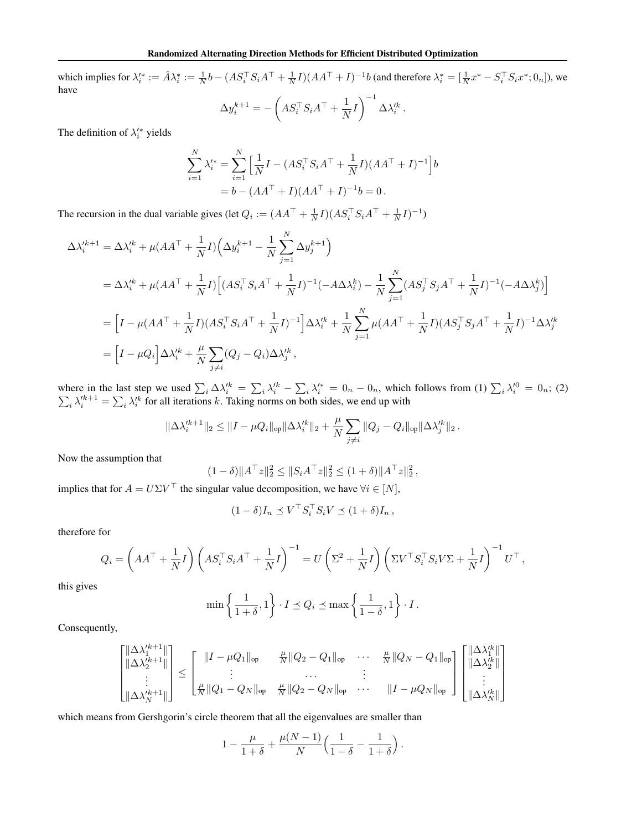which implies for  $\lambda_i^* := \hat{A}\lambda_i^* := \frac{1}{N}b - (AS_i^\top S_iA^\top + \frac{1}{N}I)(AA^\top + I)^{-1}b$  (and therefore  $\lambda_i^* = [\frac{1}{N}x^* - S_i^\top S_i x^*; 0_n]$ ), we have  $\Delta y_i^{k+1} = -\left( AS_i^{\top} S_i A^{\top} + \frac{1}{N} \right)$  $\frac{1}{N}I\bigg)^{-1}\Delta\lambda_i'^k\,.$ 

The definition of  $\lambda_i^{\prime*}$  yields

$$
\sum_{i=1}^{N} \lambda_i^{\prime *} = \sum_{i=1}^{N} \left[ \frac{1}{N} I - (AS_i^{\top} S_i A^{\top} + \frac{1}{N} I)(AA^{\top} + I)^{-1} \right] b
$$
  
= b - (AA^{\top} + I)(AA^{\top} + I)^{-1} b = 0.

The recursion in the dual variable gives (let  $Q_i := (AA^\top + \frac{1}{N}I)(AS_i^\top S_iA^\top + \frac{1}{N}I)^{-1}$ )

$$
\Delta \lambda_{i}^{\prime k+1} = \Delta \lambda_{i}^{\prime k} + \mu (AA^{\top} + \frac{1}{N}I) \Big( \Delta y_{i}^{k+1} - \frac{1}{N} \sum_{j=1}^{N} \Delta y_{j}^{k+1} \Big)
$$
  
\n
$$
= \Delta \lambda_{i}^{\prime k} + \mu (AA^{\top} + \frac{1}{N}I) \Big[ (AS_{i}^{\top} S_{i} A^{\top} + \frac{1}{N}I)^{-1} (-A \Delta \lambda_{i}^{k}) - \frac{1}{N} \sum_{j=1}^{N} (AS_{j}^{\top} S_{j} A^{\top} + \frac{1}{N}I)^{-1} (-A \Delta \lambda_{j}^{k}) \Big]
$$
  
\n
$$
= \Big[ I - \mu (AA^{\top} + \frac{1}{N}I) (AS_{i}^{\top} S_{i} A^{\top} + \frac{1}{N}I)^{-1} \Big] \Delta \lambda_{i}^{\prime k} + \frac{1}{N} \sum_{j=1}^{N} \mu (AA^{\top} + \frac{1}{N}I) (AS_{j}^{\top} S_{j} A^{\top} + \frac{1}{N}I)^{-1} \Delta \lambda_{j}^{\prime k}
$$
  
\n
$$
= \Big[ I - \mu Q_{i} \Big] \Delta \lambda_{i}^{\prime k} + \frac{\mu}{N} \sum_{j \neq i} (Q_{j} - Q_{i}) \Delta \lambda_{j}^{\prime k},
$$

where in the last step we used  $\sum_i \Delta \lambda_i^k = \sum_i \lambda_i^k - \sum_i \lambda_i^* = 0_n - 0_n$ , which follows from (1)  $\sum_i \lambda_i^0 = 0_n$ ; (2)  $\sum_i \lambda_i'^{k+1} = \sum_i \lambda_i'^{k}$  for all iterations k. Taking norms on both sides, we end up with

$$
\|\Delta \lambda_i'^{k+1}\|_2 \le \|I - \mu Q_i\|_{\text{op}} \|\Delta \lambda_i'^{k}\|_2 + \frac{\mu}{N} \sum_{j \ne i} \|Q_j - Q_i\|_{\text{op}} \|\Delta \lambda_j'^{k}\|_2\,.
$$

Now the assumption that

$$
(1 - \delta) \|A^{\top} z\|_2^2 \le \|S_i A^{\top} z\|_2^2 \le (1 + \delta) \|A^{\top} z\|_2^2,
$$

implies that for  $A = U\Sigma V^{\top}$  the singular value decomposition, we have  $\forall i \in [N]$ ,

$$
(1 - \delta)I_n \preceq V^\top S_i^\top S_i V \preceq (1 + \delta)I_n,
$$

therefore for

$$
Q_i = \left(AA^\top + \frac{1}{N}I\right) \left(AS_i^\top S_iA^\top + \frac{1}{N}I\right)^{-1} = U\left(\Sigma^2 + \frac{1}{N}I\right) \left(\Sigma V^\top S_i^\top S_i V \Sigma + \frac{1}{N}I\right)^{-1} U^\top,
$$

this gives

$$
\min\left\{\frac{1}{1+\delta}, 1\right\} \cdot I \le Q_i \le \max\left\{\frac{1}{1-\delta}, 1\right\} \cdot I.
$$

Consequently,

$$
\begin{bmatrix}\n||\Delta \lambda_1^{lk+1}|| \\
||\Delta \lambda_2^{lk+1}|| \\
\vdots \\
||\Delta \lambda_N^{lk+1}||\n\end{bmatrix}\n\leq\n\begin{bmatrix}\n||I - \mu Q_1||_{op} & \frac{\mu}{N} ||Q_2 - Q_1||_{op} & \cdots & \frac{\mu}{N} ||Q_N - Q_1||_{op} \\
\vdots & \cdots & \vdots \\
||\Delta \lambda_N^{lk+1}||\n\end{bmatrix}\n\leq\n\begin{bmatrix}\n||\Delta \lambda_1^{lk}|| \\
\vdots \\
||\Delta \lambda_2^{lk}||\n\end{bmatrix}
$$

which means from Gershgorin's circle theorem that all the eigenvalues are smaller than

$$
1 - \frac{\mu}{1+\delta} + \frac{\mu(N-1)}{N} \Big( \frac{1}{1-\delta} - \frac{1}{1+\delta} \Big) .
$$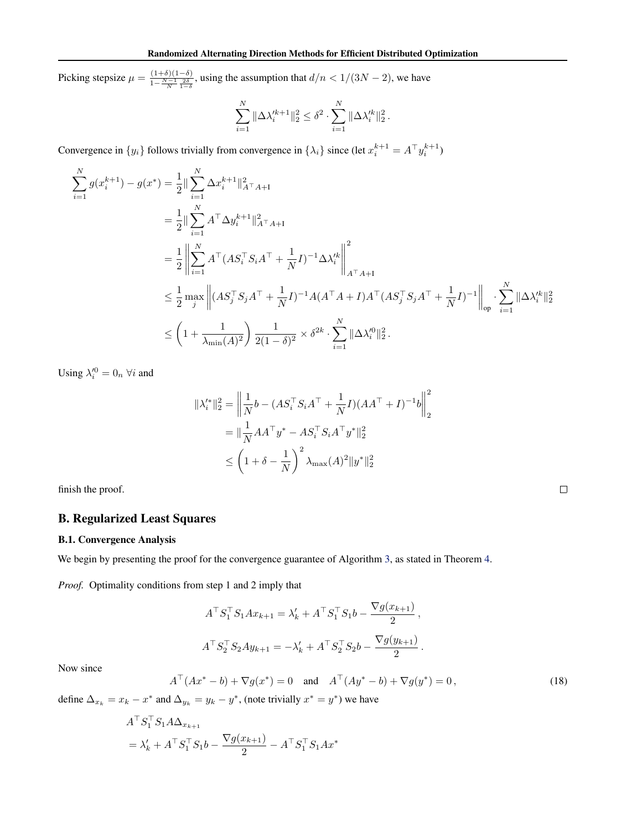<span id="page-13-0"></span>Picking stepsize  $\mu = \frac{(1+\delta)(1-\delta)}{1-\frac{N-1}{N}\frac{2\delta}{1-\delta}}$ , using the assumption that  $d/n < 1/(3N-2)$ , we have

$$
\sum_{i=1}^N \|\Delta \lambda_i'^{k+1}\|_2^2 \leq \delta^2 \cdot \sum_{i=1}^N \|\Delta \lambda_i'^{k}\|_2^2.
$$

Convergence in  $\{y_i\}$  follows trivially from convergence in  $\{\lambda_i\}$  since (let  $x_i^{k+1} = A^\top y_i^{k+1}$ )

$$
\sum_{i=1}^{N} g(x_i^{k+1}) - g(x^*) = \frac{1}{2} \|\sum_{i=1}^{N} \Delta x_i^{k+1}\|_{A^{\top} A + I}^2
$$
\n
$$
= \frac{1}{2} \|\sum_{i=1}^{N} A^{\top} \Delta y_i^{k+1}\|_{A^{\top} A + I}^2
$$
\n
$$
= \frac{1}{2} \left\|\sum_{i=1}^{N} A^{\top} (AS_i^{\top} S_i A^{\top} + \frac{1}{N} I)^{-1} \Delta \lambda_i^k \right\|_{A^{\top} A + I}^2
$$
\n
$$
\leq \frac{1}{2} \max_{j} \left\| (AS_j^{\top} S_j A^{\top} + \frac{1}{N} I)^{-1} A (A^{\top} A + I) A^{\top} (AS_j^{\top} S_j A^{\top} + \frac{1}{N} I)^{-1} \right\|_{op} \cdot \sum_{i=1}^{N} \|\Delta \lambda_i^k\|_2^2
$$
\n
$$
\leq \left(1 + \frac{1}{\lambda_{\min}(A)^2}\right) \frac{1}{2(1 - \delta)^2} \times \delta^{2k} \cdot \sum_{i=1}^{N} \|\Delta \lambda_i^{\prime 0}\|_2^2.
$$

Using  $\lambda_i^{\prime 0} = 0_n \,\forall i$  and

$$
\begin{aligned} \|\lambda_i^{\prime*}\|_2^2 &= \left\|\frac{1}{N}b - (AS_i^\top S_iA^\top + \frac{1}{N}I)(AA^\top + I)^{-1}b\right\|_2^2 \\ &= \|\frac{1}{N}AA^\top y^* - AS_i^\top S_iA^\top y^*\|_2^2 \\ &\le \left(1 + \delta - \frac{1}{N}\right)^2 \lambda_{\text{max}}(A)^2 \|y^*\|_2^2 \end{aligned}
$$

finish the proof.

## B. Regularized Least Squares

## B.1. Convergence Analysis

We begin by presenting the proof for the convergence guarantee of Algorithm [3,](#page-4-0) as stated in Theorem [4.](#page-4-0)

*Proof.* Optimality conditions from step 1 and 2 imply that

$$
A^{\top} S_1^{\top} S_1 A x_{k+1} = \lambda'_k + A^{\top} S_1^{\top} S_1 b - \frac{\nabla g(x_{k+1})}{2},
$$
  

$$
A^{\top} S_2^{\top} S_2 A y_{k+1} = -\lambda'_k + A^{\top} S_2^{\top} S_2 b - \frac{\nabla g(y_{k+1})}{2}.
$$

Now since

$$
A^{\top}(Ax^* - b) + \nabla g(x^*) = 0 \quad \text{and} \quad A^{\top}(Ay^* - b) + \nabla g(y^*) = 0,
$$
 (18)

define  $\Delta_{x_k} = x_k - x^*$  and  $\Delta_{y_k} = y_k - y^*$ , (note trivially  $x^* = y^*$ ) we have

$$
A^{\top} S_1^{\top} S_1 A \Delta_{x_{k+1}}
$$
  
=  $\lambda'_k + A^{\top} S_1^{\top} S_1 b - \frac{\nabla g(x_{k+1})}{2} - A^{\top} S_1^{\top} S_1 A x^*$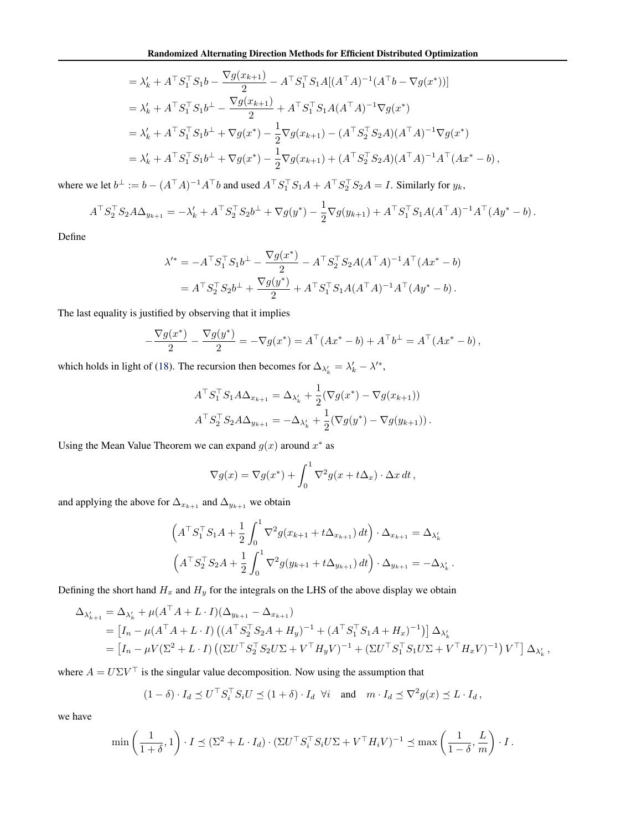$$
= \lambda'_{k} + A^{\top} S_{1}^{\top} S_{1} b - \frac{\nabla g(x_{k+1})}{2} - A^{\top} S_{1}^{\top} S_{1} A[(A^{\top} A)^{-1} (A^{\top} b - \nabla g(x^{*}))]
$$
  
\n
$$
= \lambda'_{k} + A^{\top} S_{1}^{\top} S_{1} b^{\perp} - \frac{\nabla g(x_{k+1})}{2} + A^{\top} S_{1}^{\top} S_{1} A(A^{\top} A)^{-1} \nabla g(x^{*})
$$
  
\n
$$
= \lambda'_{k} + A^{\top} S_{1}^{\top} S_{1} b^{\perp} + \nabla g(x^{*}) - \frac{1}{2} \nabla g(x_{k+1}) - (A^{\top} S_{2}^{\top} S_{2} A)(A^{\top} A)^{-1} \nabla g(x^{*})
$$
  
\n
$$
= \lambda'_{k} + A^{\top} S_{1}^{\top} S_{1} b^{\perp} + \nabla g(x^{*}) - \frac{1}{2} \nabla g(x_{k+1}) + (A^{\top} S_{2}^{\top} S_{2} A)(A^{\top} A)^{-1} A^{\top} (Ax^{*} - b),
$$

where we let  $b^{\perp} := b - (A^{\top}A)^{-1}A^{\top}b$  and used  $A^{\top}S_1^{\top}S_1A + A^{\top}S_2^{\top}S_2A = I$ . Similarly for  $y_k$ ,

$$
A^{\top} S_2^{\top} S_2 A \Delta_{y_{k+1}} = -\lambda'_k + A^{\top} S_2^{\top} S_2 b^{\perp} + \nabla g(y^*) - \frac{1}{2} \nabla g(y_{k+1}) + A^{\top} S_1^{\top} S_1 A (A^{\top} A)^{-1} A^{\top} (Ay^* - b).
$$

Define

$$
\lambda'^* = -A^{\top} S_1^{\top} S_1 b^{\perp} - \frac{\nabla g(x^*)}{2} - A^{\top} S_2^{\top} S_2 A (A^{\top} A)^{-1} A^{\top} (Ax^* - b)
$$
  
=  $A^{\top} S_2^{\top} S_2 b^{\perp} + \frac{\nabla g(y^*)}{2} + A^{\top} S_1^{\top} S_1 A (A^{\top} A)^{-1} A^{\top} (Ay^* - b).$ 

The last equality is justified by observing that it implies

$$
-\frac{\nabla g(x^*)}{2} - \frac{\nabla g(y^*)}{2} = -\nabla g(x^*) = A^{\top} (Ax^* - b) + A^{\top} b^{\perp} = A^{\top} (Ax^* - b),
$$

which holds in light of [\(18\)](#page-13-0). The recursion then becomes for  $\Delta_{\lambda'_k} = \lambda'_k - \lambda'^*$ ,

$$
A^{\top} S_1^{\top} S_1 A \Delta_{x_{k+1}} = \Delta_{\lambda'_k} + \frac{1}{2} (\nabla g(x^*) - \nabla g(x_{k+1}))
$$
  

$$
A^{\top} S_2^{\top} S_2 A \Delta_{y_{k+1}} = -\Delta_{\lambda'_k} + \frac{1}{2} (\nabla g(y^*) - \nabla g(y_{k+1})).
$$

Using the Mean Value Theorem we can expand  $g(x)$  around  $x^*$  as

$$
\nabla g(x) = \nabla g(x^*) + \int_0^1 \nabla^2 g(x + t\Delta_x) \cdot \Delta x \, dt \,,
$$

and applying the above for  $\Delta_{x_{k+1}}$  and  $\Delta_{y_{k+1}}$  we obtain

$$
\left(A^{\top} S_{1}^{\top} S_{1} A + \frac{1}{2} \int_{0}^{1} \nabla^{2} g(x_{k+1} + t \Delta_{x_{k+1}}) dt\right) \cdot \Delta_{x_{k+1}} = \Delta_{\lambda'_{k}}
$$

$$
\left(A^{\top} S_{2}^{\top} S_{2} A + \frac{1}{2} \int_{0}^{1} \nabla^{2} g(y_{k+1} + t \Delta_{y_{k+1}}) dt\right) \cdot \Delta_{y_{k+1}} = -\Delta_{\lambda'_{k}}
$$

.

Defining the short hand  $H_x$  and  $H_y$  for the integrals on the LHS of the above display we obtain

$$
\Delta_{\lambda'_{k+1}} = \Delta_{\lambda'_{k}} + \mu(A^{\top}A + L \cdot I)(\Delta_{y_{k+1}} - \Delta_{x_{k+1}})
$$
  
=  $[I_n - \mu(A^{\top}A + L \cdot I) ((A^{\top}S_2^{\top}S_2A + H_y)^{-1} + (A^{\top}S_1^{\top}S_1A + H_x)^{-1})] \Delta_{\lambda'_{k}}$   
=  $[I_n - \mu V(\Sigma^2 + L \cdot I) ((\Sigma U^{\top}S_2^{\top}S_2U\Sigma + V^{\top}H_yV)^{-1} + (\Sigma U^{\top}S_1^{\top}S_1U\Sigma + V^{\top}H_xV)^{-1}) V^{\top}] \Delta_{\lambda'_{k}},$ 

where  $A = U\Sigma V^{\top}$  is the singular value decomposition. Now using the assumption that

$$
(1 - \delta) \cdot I_d \preceq U^\top S_i^\top S_i U \preceq (1 + \delta) \cdot I_d \quad \forall i \quad \text{and} \quad m \cdot I_d \preceq \nabla^2 g(x) \preceq L \cdot I_d \,,
$$

we have

$$
\min\left(\frac{1}{1+\delta},1\right)\cdot I \preceq (\Sigma^2 + L\cdot I_d) \cdot (\Sigma U^\top S_i^\top S_i U \Sigma + V^\top H_i V)^{-1} \preceq \max\left(\frac{1}{1-\delta},\frac{L}{m}\right)\cdot I.
$$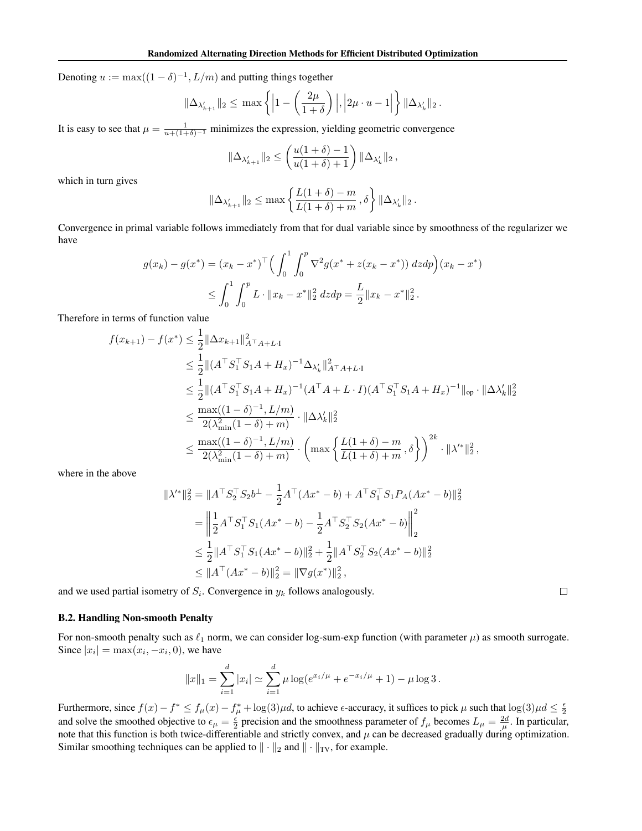Denoting  $u := \max((1 - \delta)^{-1}, L/m)$  and putting things together

$$
\|\Delta_{\lambda'_{k+1}}\|_2 \le \max\left\{ \left| 1 - \left(\frac{2\mu}{1+\delta}\right) \right|, \left| 2\mu \cdot u - 1 \right| \right\} \|\Delta_{\lambda'_k}\|_2.
$$

It is easy to see that  $\mu = \frac{1}{u + (1 + \delta)^{-1}}$  minimizes the expression, yielding geometric convergence

$$
\|\Delta_{\lambda'_{k+1}}\|_2 \le \left(\frac{u(1+\delta)-1}{u(1+\delta)+1}\right) \|\Delta_{\lambda'_k}\|_2,
$$

which in turn gives

$$
\|\Delta_{\lambda'_{k+1}}\|_2 \le \max\left\{\frac{L(1+\delta)-m}{L(1+\delta)+m},\delta\right\} \|\Delta_{\lambda'_k}\|_2.
$$

Convergence in primal variable follows immediately from that for dual variable since by smoothness of the regularizer we have

$$
g(x_k) - g(x^*) = (x_k - x^*)^{\top} \Big( \int_0^1 \int_0^p \nabla^2 g(x^* + z(x_k - x^*)) \, dz \, dp \Big) (x_k - x^*)
$$
  

$$
\leq \int_0^1 \int_0^p L \cdot \|x_k - x^*\|_2^2 \, dz \, dp = \frac{L}{2} \|x_k - x^*\|_2^2.
$$

Therefore in terms of function value

$$
f(x_{k+1}) - f(x^*) \leq \frac{1}{2} ||\Delta x_{k+1}||_{A^\top A + L \cdot 1}^2
$$
  
\n
$$
\leq \frac{1}{2} ||(A^\top S_1^\top S_1 A + H_x)^{-1} \Delta_{\lambda'_k}||_{A^\top A + L \cdot 1}^2
$$
  
\n
$$
\leq \frac{1}{2} ||(A^\top S_1^\top S_1 A + H_x)^{-1} (A^\top A + L \cdot I)(A^\top S_1^\top S_1 A + H_x)^{-1}||_{op} \cdot ||\Delta_{\lambda'_k}||_2^2
$$
  
\n
$$
\leq \frac{\max((1 - \delta)^{-1}, L/m)}{2(\lambda_{\min}^2 (1 - \delta) + m)} \cdot ||\Delta_{\lambda'_k}||_2^2
$$
  
\n
$$
\leq \frac{\max((1 - \delta)^{-1}, L/m)}{2(\lambda_{\min}^2 (1 - \delta) + m)} \cdot \left(\max \left\{ \frac{L(1 + \delta) - m}{L(1 + \delta) + m}, \delta \right\} \right)^{2k} \cdot ||\lambda'^*||_2^2,
$$

where in the above

$$
\begin{split} \|\lambda'^*\|_2^2 &= \|A^\top S_2^\top S_2 b^\perp - \frac{1}{2} A^\top (Ax^* - b) + A^\top S_1^\top S_1 P_A (Ax^* - b) \|_2^2 \\ &= \left\| \frac{1}{2} A^\top S_1^\top S_1 (Ax^* - b) - \frac{1}{2} A^\top S_2^\top S_2 (Ax^* - b) \right\|_2^2 \\ &\le \frac{1}{2} \|A^\top S_1^\top S_1 (Ax^* - b) \|_2^2 + \frac{1}{2} \|A^\top S_2^\top S_2 (Ax^* - b) \|_2^2 \\ &\le \|A^\top (Ax^* - b) \|_2^2 = \|\nabla g(x^*) \|_2^2, \end{split}
$$

and we used partial isometry of  $S_i$ . Convergence in  $y_k$  follows analogously.

## B.2. Handling Non-smooth Penalty

For non-smooth penalty such as  $\ell_1$  norm, we can consider log-sum-exp function (with parameter  $\mu$ ) as smooth surrogate. Since  $|x_i| = \max(x_i, -x_i, 0)$ , we have

$$
||x||_1 = \sum_{i=1}^d |x_i| \simeq \sum_{i=1}^d \mu \log(e^{x_i/\mu} + e^{-x_i/\mu} + 1) - \mu \log 3.
$$

Furthermore, since  $f(x) - f^* \le f_\mu(x) - f_\mu^* + \log(3)\mu d$ , to achieve  $\epsilon$ -accuracy, it suffices to pick  $\mu$  such that  $\log(3)\mu d \le \frac{\epsilon}{2}$ and solve the smoothed objective to  $\epsilon_{\mu} = \frac{\epsilon}{2}$  precision and the smoothness parameter of  $f_{\mu}$  becomes  $L_{\mu} = \frac{2d}{\mu}$ . In particular, note that this function is both twice-differentiable and strictly convex, and  $\mu$  can be decreased gradually during optimization. Similar smoothing techniques can be applied to  $\|\cdot\|_2$  and  $\|\cdot\|_{TV}$ , for example.

 $\Box$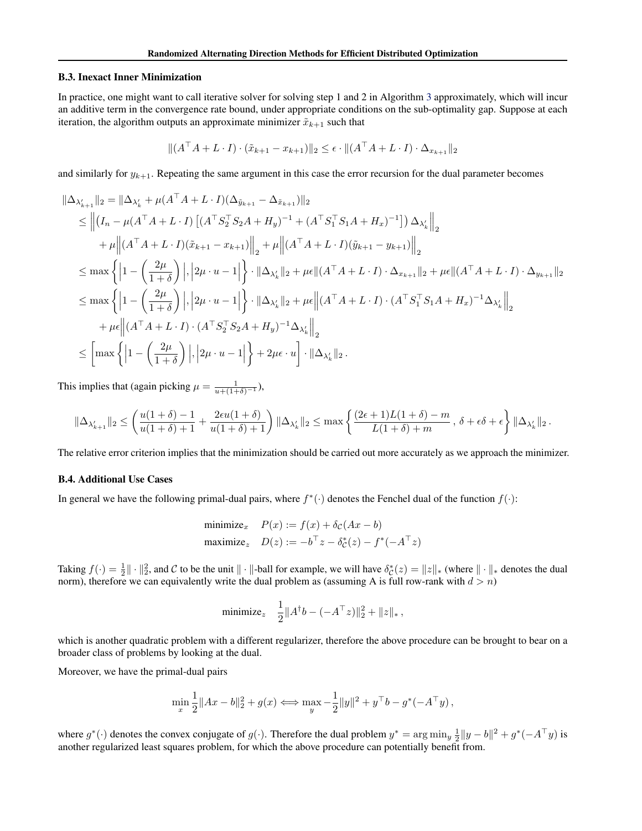#### B.3. Inexact Inner Minimization

In practice, one might want to call iterative solver for solving step 1 and 2 in Algorithm [3](#page-4-0) approximately, which will incur an additive term in the convergence rate bound, under appropriate conditions on the sub-optimality gap. Suppose at each iteration, the algorithm outputs an approximate minimizer  $\tilde{x}_{k+1}$  such that

$$
|| (A^{\top} A + L \cdot I) \cdot (\tilde{x}_{k+1} - x_{k+1}) ||_2 \le \epsilon \cdot || (A^{\top} A + L \cdot I) \cdot \Delta_{x_{k+1}} ||_2
$$

and similarly for  $y_{k+1}$ . Repeating the same argument in this case the error recursion for the dual parameter becomes

$$
\|\Delta_{\lambda'_{k+1}}\|_{2} = \|\Delta_{\lambda'_{k}} + \mu(A^{\top}A + L \cdot I)(\Delta_{\tilde{y}_{k+1}} - \Delta_{\tilde{x}_{k+1}})\|_{2}
$$
  
\n
$$
\leq \left\| (I_{n} - \mu(A^{\top}A + L \cdot I) \left[ (A^{\top}S_{2}^{\top}S_{2}A + H_{y})^{-1} + (A^{\top}S_{1}^{\top}S_{1}A + H_{x})^{-1} \right] ) \Delta_{\lambda'_{k}} \right\|_{2}
$$
  
\n
$$
+ \mu \left\| (A^{\top}A + L \cdot I)(\tilde{x}_{k+1} - x_{k+1}) \right\|_{2} + \mu \left\| (A^{\top}A + L \cdot I)(\tilde{y}_{k+1} - y_{k+1}) \right\|_{2}
$$
  
\n
$$
\leq \max \left\{ \left| 1 - \left( \frac{2\mu}{1+\delta} \right) \right|, \left| 2\mu \cdot u - 1 \right| \right\} \cdot \|\Delta_{\lambda'_{k}}\|_{2} + \mu \epsilon \|(A^{\top}A + L \cdot I) \cdot \Delta_{x_{k+1}}\|_{2} + \mu \epsilon \|(A^{\top}A + L \cdot I) \cdot \Delta_{y_{k+1}}\|_{2}
$$
  
\n
$$
\leq \max \left\{ \left| 1 - \left( \frac{2\mu}{1+\delta} \right) \right|, \left| 2\mu \cdot u - 1 \right| \right\} \cdot \|\Delta_{\lambda'_{k}}\|_{2} + \mu \epsilon \|(A^{\top}A + L \cdot I) \cdot (A^{\top}S_{1}^{\top}S_{1}A + H_{x})^{-1} \Delta_{\lambda'_{k}} \right\|_{2}
$$
  
\n
$$
+ \mu \epsilon \|(A^{\top}A + L \cdot I) \cdot (A^{\top}S_{2}^{\top}S_{2}A + H_{y})^{-1} \Delta_{\lambda'_{k}} \right\|_{2}
$$
  
\n
$$
\leq \left[ \max \left\{ \left| 1 - \left( \frac{2\mu}{1+\delta} \right) \right|, \left| 2\mu \cdot u - 1 \right| \right\} + 2\mu \epsilon \cdot u \right] \cdot \|\Delta_{\lambda'_{k}}\|_{2
$$

This implies that (again picking  $\mu = \frac{1}{u + (1 + \delta)^{-1}}$ ),

$$
\|\Delta_{\lambda_{k+1}'}\|_2 \leq \left(\frac{u(1+\delta)-1}{u(1+\delta)+1}+\frac{2\epsilon u(1+\delta)}{u(1+\delta)+1}\right)\|\Delta_{\lambda_k'}\|_2 \leq \max\left\{\frac{(2\epsilon+1)L(1+\delta)-m}{L(1+\delta)+m}\,,\,\delta+\epsilon\delta+\epsilon\right\}\|\Delta_{\lambda_k'}\|_2\,.
$$

The relative error criterion implies that the minimization should be carried out more accurately as we approach the minimizer.

### B.4. Additional Use Cases

In general we have the following primal-dual pairs, where  $f^*(\cdot)$  denotes the Fenchel dual of the function  $f(\cdot)$ :

$$
\begin{aligned}\n\text{minimize}_{x} \quad P(x) &:= f(x) + \delta_{\mathcal{C}}(Ax - b) \\
\text{maximize}_{z} \quad D(z) &:= -b^{\top}z - \delta_{\mathcal{C}}^{*}(z) - f^{*}(-A^{\top}z)\n\end{aligned}
$$

Taking  $f(\cdot) = \frac{1}{2} || \cdot ||_2^2$ , and C to be the unit  $|| \cdot ||$ -ball for example, we will have  $\delta_{\mathcal{C}}^*(z) = ||z||_*$  (where  $|| \cdot ||_*$  denotes the dual norm), therefore we can equivalently write the dual problem as (assuming A is full row-rank with  $d > n$ )

minimize<sub>z</sub> 
$$
\frac{1}{2} ||A^{\dagger}b - (-A^{\top}z)||_2^2 + ||z||_*
$$
,

which is another quadratic problem with a different regularizer, therefore the above procedure can be brought to bear on a broader class of problems by looking at the dual.

Moreover, we have the primal-dual pairs

$$
\min_{x} \frac{1}{2} ||Ax - b||_2^2 + g(x) \Longleftrightarrow \max_{y} -\frac{1}{2} ||y||^2 + y^\top b - g^*(-A^\top y),
$$

where  $g^*(\cdot)$  denotes the convex conjugate of  $g(\cdot)$ . Therefore the dual problem  $y^* = \arg \min_y \frac{1}{2} ||y - b||^2 + g^*(-A^{\top}y)$  is another regularized least squares problem, for which the above procedure can potentially benefit from.